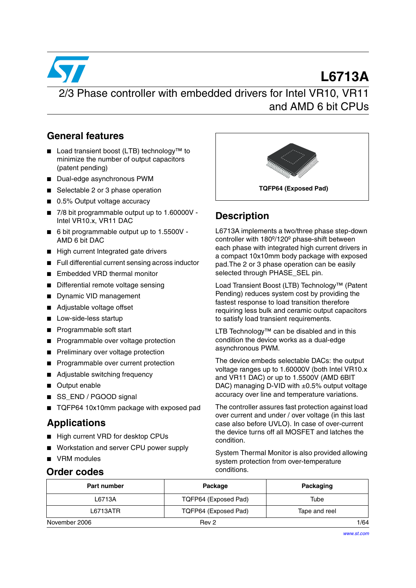

### **General features**

- Load transient boost (LTB) technology<sup>™</sup> to minimize the number of output capacitors (patent pending)
- Dual-edge asynchronous PWM
- Selectable 2 or 3 phase operation
- 0.5% Output voltage accuracy
- 7/8 bit programmable output up to 1.60000V -Intel VR10.x, VR11 DAC
- 6 bit programmable output up to 1.5500V -AMD 6 bit DAC
- High current Integrated gate drivers
- Full differential current sensing across inductor
- Embedded VRD thermal monitor
- Differential remote voltage sensing
- Dynamic VID management
- Adjustable voltage offset
- Low-side-less startup
- Programmable soft start
- Programmable over voltage protection
- Preliminary over voltage protection
- Programmable over current protection
- Adjustable switching frequency
- Output enable
- SS\_END / PGOOD signal
- TQFP64 10x10mm package with exposed pad

### **Applications**

- High current VRD for desktop CPUs
- Workstation and server CPU power supply
- VRM modules

# **Order codes**



# **Description**

L6713A implements a two/three phase step-down controller with 180º/120º phase-shift between each phase with integrated high current drivers in a compact 10x10mm body package with exposed pad.The 2 or 3 phase operation can be easily selected through PHASE\_SEL pin.

Load Transient Boost (LTB) Technology™ (Patent Pending) reduces system cost by providing the fastest response to load transition therefore requiring less bulk and ceramic output capacitors to satisfy load transient requirements.

LTB Technology™ can be disabled and in this condition the device works as a dual-edge asynchronous PWM.

The device embeds selectable DACs: the output voltage ranges up to 1.60000V (both Intel VR10.x and VR11 DAC) or up to 1.5500V (AMD 6BIT DAC) managing D-VID with  $\pm 0.5\%$  output voltage accuracy over line and temperature variations.

The controller assures fast protection against load over current and under / over voltage (in this last case also before UVLO). In case of over-current the device turns off all MOSFET and latches the condition.

System Thermal Monitor is also provided allowing system protection from over-temperature conditions.

| Part number   | Package              | Packaging     |  |  |
|---------------|----------------------|---------------|--|--|
| L6713A        | TQFP64 (Exposed Pad) | Tube          |  |  |
| L6713ATR      | TQFP64 (Exposed Pad) | Tape and reel |  |  |
| November 2006 | Rev 2                | 1/64          |  |  |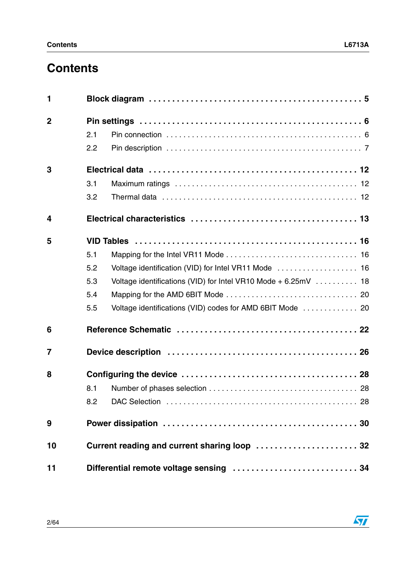# **Contents**

| 1              |     |                                                                 |
|----------------|-----|-----------------------------------------------------------------|
| $\overline{2}$ |     |                                                                 |
|                | 2.1 |                                                                 |
|                | 2.2 |                                                                 |
| 3              |     |                                                                 |
|                | 3.1 |                                                                 |
|                | 3.2 |                                                                 |
| 4              |     |                                                                 |
| 5              |     |                                                                 |
|                | 5.1 |                                                                 |
|                | 5.2 |                                                                 |
|                | 5.3 | Voltage identifications (VID) for Intel VR10 Mode + $6.25mV$ 18 |
|                | 5.4 |                                                                 |
|                | 5.5 | Voltage identifications (VID) codes for AMD 6BIT Mode  20       |
| 6              |     |                                                                 |
| $\overline{7}$ |     |                                                                 |
| 8              |     |                                                                 |
|                | 8.1 |                                                                 |
|                | 8.2 |                                                                 |
| 9              |     |                                                                 |
| 10             |     | Current reading and current sharing loop  32                    |
| 11             |     |                                                                 |

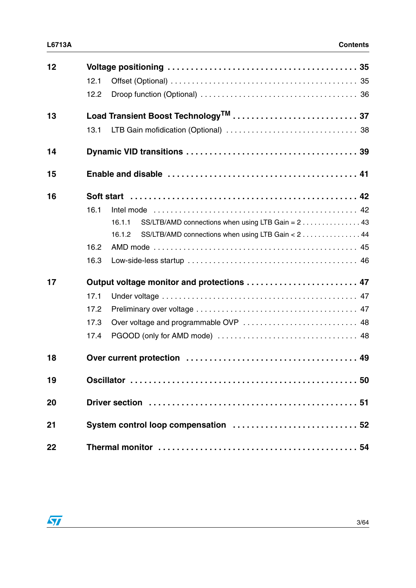| 12 | 12.1<br>12.2 |                                                             |
|----|--------------|-------------------------------------------------------------|
| 13 |              |                                                             |
|    | 13.1         |                                                             |
| 14 |              |                                                             |
| 15 |              |                                                             |
| 16 |              |                                                             |
|    | 16.1         |                                                             |
|    |              | SS/LTB/AMD connections when using LTB Gain = 2 43<br>16.1.1 |
|    |              | SS/LTB/AMD connections when using LTB Gain < 2 44<br>16.1.2 |
|    | 16.2         |                                                             |
|    | 16.3         |                                                             |
| 17 |              | Output voltage monitor and protections  47                  |
|    | 17.1         |                                                             |
|    | 17.2         |                                                             |
|    | 17.3         |                                                             |
|    | 17.4         |                                                             |
| 18 |              |                                                             |
| 19 |              |                                                             |
| 20 |              |                                                             |
| 21 |              | System control loop compensation  52                        |
| 22 |              |                                                             |

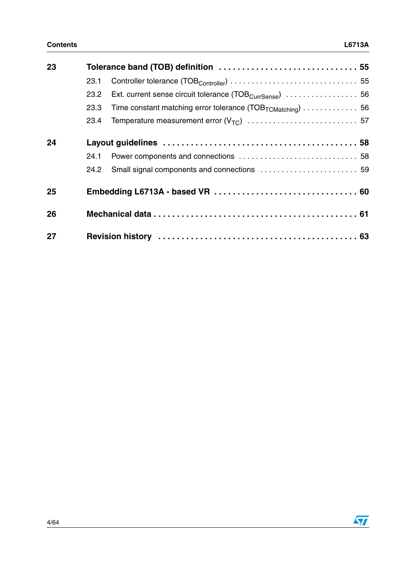| 23 |      |                                                                                                          |  |
|----|------|----------------------------------------------------------------------------------------------------------|--|
|    | 23.1 |                                                                                                          |  |
|    | 23.2 | Ext. current sense circuit tolerance (TOB <sub>CurrSense</sub> ) $\ldots \ldots \ldots \ldots \ldots$ 56 |  |
|    | 23.3 | Time constant matching error tolerance $(TOB_{TCMatching})$ 56                                           |  |
|    | 23.4 |                                                                                                          |  |
| 24 |      |                                                                                                          |  |
|    | 24.1 |                                                                                                          |  |
|    | 24.2 |                                                                                                          |  |
| 25 |      |                                                                                                          |  |
| 26 |      |                                                                                                          |  |
| 27 |      |                                                                                                          |  |

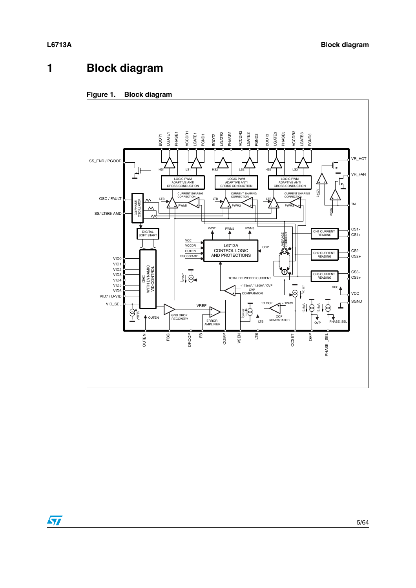# <span id="page-4-0"></span>**1 Block diagram**



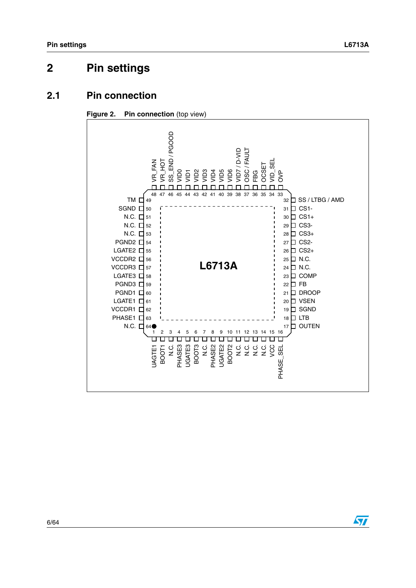# <span id="page-5-0"></span>**2 Pin settings**

### <span id="page-5-1"></span>**2.1 Pin connection**





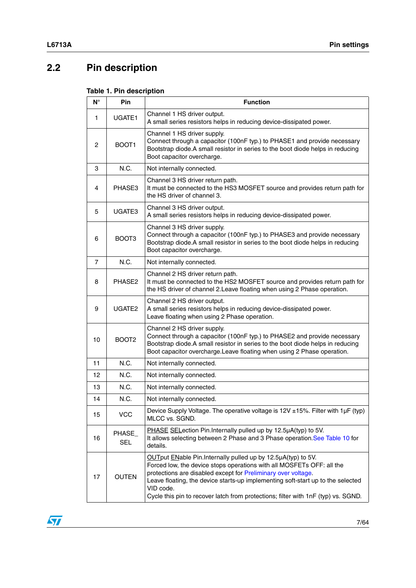# <span id="page-6-0"></span>**2.2 Pin description**

| $N^{\circ}$ | Pin                  | <b>Function</b>                                                                                                                                                                                                                                                                                                                                                                              |
|-------------|----------------------|----------------------------------------------------------------------------------------------------------------------------------------------------------------------------------------------------------------------------------------------------------------------------------------------------------------------------------------------------------------------------------------------|
| 1.          | UGATE1               | Channel 1 HS driver output.<br>A small series resistors helps in reducing device-dissipated power.                                                                                                                                                                                                                                                                                           |
| 2           | BOOT <sub>1</sub>    | Channel 1 HS driver supply.<br>Connect through a capacitor (100nF typ.) to PHASE1 and provide necessary<br>Bootstrap diode.A small resistor in series to the boot diode helps in reducing<br>Boot capacitor overcharge.                                                                                                                                                                      |
| 3           | N.C.                 | Not internally connected.                                                                                                                                                                                                                                                                                                                                                                    |
| 4           | PHASE3               | Channel 3 HS driver return path.<br>It must be connected to the HS3 MOSFET source and provides return path for<br>the HS driver of channel 3.                                                                                                                                                                                                                                                |
| 5           | UGATE3               | Channel 3 HS driver output.<br>A small series resistors helps in reducing device-dissipated power.                                                                                                                                                                                                                                                                                           |
| 6           | BOOT <sub>3</sub>    | Channel 3 HS driver supply.<br>Connect through a capacitor (100nF typ.) to PHASE3 and provide necessary<br>Bootstrap diode.A small resistor in series to the boot diode helps in reducing<br>Boot capacitor overcharge.                                                                                                                                                                      |
| 7           | N.C.                 | Not internally connected.                                                                                                                                                                                                                                                                                                                                                                    |
| 8           | PHASE2               | Channel 2 HS driver return path.<br>It must be connected to the HS2 MOSFET source and provides return path for<br>the HS driver of channel 2. Leave floating when using 2 Phase operation.                                                                                                                                                                                                   |
| 9           | UGATE <sub>2</sub>   | Channel 2 HS driver output.<br>A small series resistors helps in reducing device-dissipated power.<br>Leave floating when using 2 Phase operation.                                                                                                                                                                                                                                           |
| 10          | BOOT <sub>2</sub>    | Channel 2 HS driver supply.<br>Connect through a capacitor (100nF typ.) to PHASE2 and provide necessary<br>Bootstrap diode.A small resistor in series to the boot diode helps in reducing<br>Boot capacitor overcharge. Leave floating when using 2 Phase operation.                                                                                                                         |
| 11          | N.C.                 | Not internally connected.                                                                                                                                                                                                                                                                                                                                                                    |
| 12          | N.C.                 | Not internally connected.                                                                                                                                                                                                                                                                                                                                                                    |
| 13          | N.C.                 | Not internally connected.                                                                                                                                                                                                                                                                                                                                                                    |
| 14          | N.C.                 | Not internally connected.                                                                                                                                                                                                                                                                                                                                                                    |
| 15          | <b>VCC</b>           | Device Supply Voltage. The operative voltage is 12V ±15%. Filter with 1µF (typ)<br>MLCC vs. SGND.                                                                                                                                                                                                                                                                                            |
| 16          | PHASE_<br><b>SEL</b> | PHASE SELection Pin. Internally pulled up by 12.5µA(typ) to 5V.<br>It allows selecting between 2 Phase and 3 Phase operation. See Table 10 for<br>details.                                                                                                                                                                                                                                   |
| 17          | <b>OUTEN</b>         | OUTput ENable Pin. Internally pulled up by 12.5µA(typ) to 5V.<br>Forced low, the device stops operations with all MOSFETs OFF: all the<br>protections are disabled except for Preliminary over voltage.<br>Leave floating, the device starts-up implementing soft-start up to the selected<br>VID code.<br>Cycle this pin to recover latch from protections; filter with 1nF (typ) vs. SGND. |

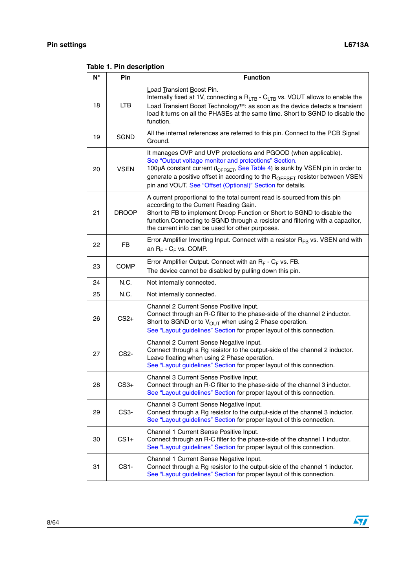| N° | Pin               | <b>Function</b>                                                                                                                                                                                                                                                                                                                                                      |
|----|-------------------|----------------------------------------------------------------------------------------------------------------------------------------------------------------------------------------------------------------------------------------------------------------------------------------------------------------------------------------------------------------------|
| 18 | <b>LTB</b>        | Load Transient Boost Pin.<br>Internally fixed at 1V, connecting a $R_{LTB}$ - $C_{LTB}$ vs. VOUT allows to enable the<br>Load Transient Boost Technology™: as soon as the device detects a transient<br>load it turns on all the PHASEs at the same time. Short to SGND to disable the<br>function.                                                                  |
| 19 | <b>SGND</b>       | All the internal references are referred to this pin. Connect to the PCB Signal<br>Ground.                                                                                                                                                                                                                                                                           |
| 20 | <b>VSEN</b>       | It manages OVP and UVP protections and PGOOD (when applicable).<br>See "Output voltage monitor and protections" Section.<br>100μA constant current (I <sub>OFFSET</sub> , See Table 4) is sunk by VSEN pin in order to<br>generate a positive offset in according to the ROFFSET resistor between VSEN<br>pin and VOUT. See "Offset (Optional)" Section for details. |
| 21 | <b>DROOP</b>      | A current proportional to the total current read is sourced from this pin<br>according to the Current Reading Gain.<br>Short to FB to implement Droop Function or Short to SGND to disable the<br>function. Connecting to SGND through a resistor and filtering with a capacitor,<br>the current info can be used for other purposes.                                |
| 22 | <b>FB</b>         | Error Amplifier Inverting Input. Connect with a resistor R <sub>FB</sub> vs. VSEN and with<br>an $R_F$ - $C_F$ vs. COMP.                                                                                                                                                                                                                                             |
| 23 | <b>COMP</b>       | Error Amplifier Output. Connect with an $R_F$ - $C_F$ vs. FB.<br>The device cannot be disabled by pulling down this pin.                                                                                                                                                                                                                                             |
| 24 | N.C.              | Not internally connected.                                                                                                                                                                                                                                                                                                                                            |
| 25 | N.C.              | Not internally connected.                                                                                                                                                                                                                                                                                                                                            |
| 26 | $CS2+$            | Channel 2 Current Sense Positive Input.<br>Connect through an R-C filter to the phase-side of the channel 2 inductor.<br>Short to SGND or to $V_{\text{OUT}}$ when using 2 Phase operation.<br>See "Layout guidelines" Section for proper layout of this connection.                                                                                                 |
| 27 | CS <sub>2</sub> - | Channel 2 Current Sense Negative Input.<br>Connect through a Rg resistor to the output-side of the channel 2 inductor.<br>Leave floating when using 2 Phase operation.<br>See "Layout guidelines" Section for proper layout of this connection.                                                                                                                      |
| 28 | $CS3+$            | Channel 3 Current Sense Positive Input.<br>Connect through an R-C filter to the phase-side of the channel 3 inductor.<br>See "Layout guidelines" Section for proper layout of this connection.                                                                                                                                                                       |
| 29 | CS <sub>3</sub> - | Channel 3 Current Sense Negative Input.<br>Connect through a Rg resistor to the output-side of the channel 3 inductor.<br>See "Layout guidelines" Section for proper layout of this connection.                                                                                                                                                                      |
| 30 | $CS1+$            | Channel 1 Current Sense Positive Input.<br>Connect through an R-C filter to the phase-side of the channel 1 inductor.<br>See "Layout guidelines" Section for proper layout of this connection.                                                                                                                                                                       |
| 31 | CS1-              | Channel 1 Current Sense Negative Input.<br>Connect through a Rg resistor to the output-side of the channel 1 inductor.<br>See "Layout guidelines" Section for proper layout of this connection.                                                                                                                                                                      |

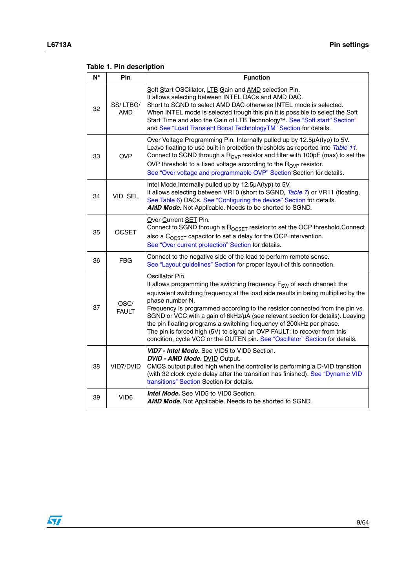| $N^{\circ}$ | Pin                    | <b>Function</b>                                                                                                                                                                                                                                                                                                                                                                                                                                                                                                                                                                                                      |
|-------------|------------------------|----------------------------------------------------------------------------------------------------------------------------------------------------------------------------------------------------------------------------------------------------------------------------------------------------------------------------------------------------------------------------------------------------------------------------------------------------------------------------------------------------------------------------------------------------------------------------------------------------------------------|
| 32          | SS/LTBG/<br><b>AMD</b> | Soft Start OSCillator, LTB Gain and AMD selection Pin.<br>It allows selecting between INTEL DACs and AMD DAC.<br>Short to SGND to select AMD DAC otherwise INTEL mode is selected.<br>When INTEL mode is selected trough this pin it is possible to select the Soft<br>Start Time and also the Gain of LTB Technology <sup>™</sup> . See "Soft start" Section"<br>and See "Load Transient Boost TechnologyTM" Section for details.                                                                                                                                                                                   |
| 33          | <b>OVP</b>             | Over Voltage Programming Pin. Internally pulled up by 12.5µA(typ) to 5V.<br>Leave floating to use built-in protection thresholds as reported into Table 11.<br>Connect to SGND through a R <sub>OVP</sub> resistor and filter with 100pF (max) to set the<br>OVP threshold to a fixed voltage according to the $R_{OVP}$ resistor.<br>See "Over voltage and programmable OVP" Section Section for details.                                                                                                                                                                                                           |
| 34          | VID_SEL                | Intel Mode. Internally pulled up by 12.5µA(typ) to 5V.<br>It allows selecting between VR10 (short to SGND, Table 7) or VR11 (floating,<br>See Table 6) DACs. See "Configuring the device" Section for details.<br>AMD Mode. Not Applicable. Needs to be shorted to SGND.                                                                                                                                                                                                                                                                                                                                             |
| 35          | <b>OCSET</b>           | Over Current SET Pin.<br>Connect to SGND through a R <sub>OCSET</sub> resistor to set the OCP threshold.Connect<br>also a $C_{OCSFT}$ capacitor to set a delay for the OCP intervention.<br>See "Over current protection" Section for details.                                                                                                                                                                                                                                                                                                                                                                       |
| 36          | <b>FBG</b>             | Connect to the negative side of the load to perform remote sense.<br>See "Layout guidelines" Section for proper layout of this connection.                                                                                                                                                                                                                                                                                                                                                                                                                                                                           |
| 37          | OSC/<br><b>FAULT</b>   | Oscillator Pin.<br>It allows programming the switching frequency F <sub>SW</sub> of each channel: the<br>equivalent switching frequency at the load side results in being multiplied by the<br>phase number N.<br>Frequency is programmed according to the resistor connected from the pin vs.<br>SGND or VCC with a gain of 6kHz/µA (see relevant section for details). Leaving<br>the pin floating programs a switching frequency of 200kHz per phase.<br>The pin is forced high (5V) to signal an OVP FAULT: to recover from this<br>condition, cycle VCC or the OUTEN pin. See "Oscillator" Section for details. |
| 38          | VID7/DVID              | VID7 - Intel Mode. See VID5 to VID0 Section.<br>DVID - AMD Mode. DVID Output.<br>CMOS output pulled high when the controller is performing a D-VID transition<br>(with 32 clock cycle delay after the transition has finished). See "Dynamic VID<br>transitions" Section Section for details.                                                                                                                                                                                                                                                                                                                        |
| 39          | VID <sub>6</sub>       | <b>Intel Mode.</b> See VID5 to VID0 Section.<br>AMD Mode. Not Applicable. Needs to be shorted to SGND.                                                                                                                                                                                                                                                                                                                                                                                                                                                                                                               |

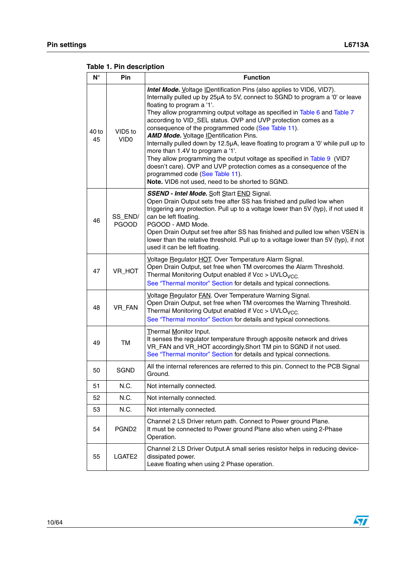| $N^{\circ}$ | Pin                                     | <b>Function</b>                                                                                                                                                                                                                                                                                                                                                                                                                                                                                                                                                                                                                                                                                                                                                                                                             |
|-------------|-----------------------------------------|-----------------------------------------------------------------------------------------------------------------------------------------------------------------------------------------------------------------------------------------------------------------------------------------------------------------------------------------------------------------------------------------------------------------------------------------------------------------------------------------------------------------------------------------------------------------------------------------------------------------------------------------------------------------------------------------------------------------------------------------------------------------------------------------------------------------------------|
| 40 to<br>45 | VID <sub>5</sub> to<br>VID <sub>0</sub> | <b>Intel Mode.</b> Voltage <i>IDentification Pins</i> (also applies to VID6, VID7).<br>Internally pulled up by 25µA to 5V, connect to SGND to program a '0' or leave<br>floating to program a '1'.<br>They allow programming output voltage as specified in Table 6 and Table 7<br>according to VID_SEL status. OVP and UVP protection comes as a<br>consequence of the programmed code (See Table 11).<br><b>AMD Mode.</b> Voltage IDentification Pins.<br>Internally pulled down by 12.5µA, leave floating to program a '0' while pull up to<br>more than 1.4V to program a '1'.<br>They allow programming the output voltage as specified in Table 9 (VID7<br>doesn't care). OVP and UVP protection comes as a consequence of the<br>programmed code (See Table 11).<br>Note. VID6 not used, need to be shorted to SGND. |
| 46          | SS_END/<br><b>PGOOD</b>                 | <b>SSEND - Intel Mode. Soft Start END Signal.</b><br>Open Drain Output sets free after SS has finished and pulled low when<br>triggering any protection. Pull up to a voltage lower than 5V (typ), if not used it<br>can be left floating.<br>PGOOD - AMD Mode.<br>Open Drain Output set free after SS has finished and pulled low when VSEN is<br>lower than the relative threshold. Pull up to a voltage lower than 5V (typ), if not<br>used it can be left floating.                                                                                                                                                                                                                                                                                                                                                     |
| 47          | VR_HOT                                  | Voltage Regulator HOT. Over Temperature Alarm Signal.<br>Open Drain Output, set free when TM overcomes the Alarm Threshold.<br>Thermal Monitoring Output enabled if Vcc > UVLO <sub>VCC</sub><br>See "Thermal monitor" Section for details and typical connections.                                                                                                                                                                                                                                                                                                                                                                                                                                                                                                                                                         |
| 48          | VR_FAN                                  | Voltage Regulator FAN. Over Temperature Warning Signal.<br>Open Drain Output, set free when TM overcomes the Warning Threshold.<br>Thermal Monitoring Output enabled if Vcc > UVLO <sub>VCC</sub><br>See "Thermal monitor" Section for details and typical connections.                                                                                                                                                                                                                                                                                                                                                                                                                                                                                                                                                     |
| 49          | TM                                      | Thermal Monitor Input.<br>It senses the regulator temperature through apposite network and drives<br>VR_FAN and VR_HOT accordingly. Short TM pin to SGND if not used.<br>See "Thermal monitor" Section for details and typical connections.                                                                                                                                                                                                                                                                                                                                                                                                                                                                                                                                                                                 |
| 50          | <b>SGND</b>                             | All the internal references are referred to this pin. Connect to the PCB Signal<br>Ground.                                                                                                                                                                                                                                                                                                                                                                                                                                                                                                                                                                                                                                                                                                                                  |
| 51          | N.C.                                    | Not internally connected.                                                                                                                                                                                                                                                                                                                                                                                                                                                                                                                                                                                                                                                                                                                                                                                                   |
| 52          | N.C.                                    | Not internally connected.                                                                                                                                                                                                                                                                                                                                                                                                                                                                                                                                                                                                                                                                                                                                                                                                   |
| 53          | N.C.                                    | Not internally connected.                                                                                                                                                                                                                                                                                                                                                                                                                                                                                                                                                                                                                                                                                                                                                                                                   |
| 54          | PGND <sub>2</sub>                       | Channel 2 LS Driver return path. Connect to Power ground Plane.<br>It must be connected to Power ground Plane also when using 2-Phase<br>Operation.                                                                                                                                                                                                                                                                                                                                                                                                                                                                                                                                                                                                                                                                         |
| 55          | LGATE2                                  | Channel 2 LS Driver Output.A small series resistor helps in reducing device-<br>dissipated power.<br>Leave floating when using 2 Phase operation.                                                                                                                                                                                                                                                                                                                                                                                                                                                                                                                                                                                                                                                                           |

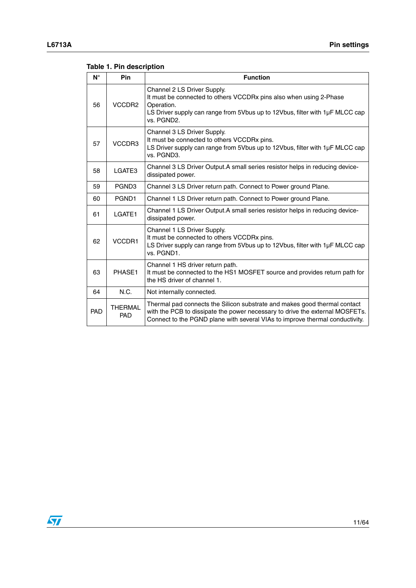| $N^{\circ}$ | <b>Pin</b>                   | <b>Function</b>                                                                                                                                                                                                                           |
|-------------|------------------------------|-------------------------------------------------------------------------------------------------------------------------------------------------------------------------------------------------------------------------------------------|
| 56          | VCCDR <sub>2</sub>           | Channel 2 LS Driver Supply.<br>It must be connected to others VCCDRx pins also when using 2-Phase<br>Operation.<br>LS Driver supply can range from 5Vbus up to 12Vbus, filter with $1\mu$ F MLCC cap<br>vs. PGND2.                        |
| 57          | VCCDR3                       | Channel 3 LS Driver Supply.<br>It must be connected to others VCCDRx pins.<br>LS Driver supply can range from 5Vbus up to 12Vbus, filter with 1µF MLCC cap<br>vs. PGND3.                                                                  |
| 58          | LGATE3                       | Channel 3 LS Driver Output. A small series resistor helps in reducing device-<br>dissipated power.                                                                                                                                        |
| 59          | PGND3                        | Channel 3 LS Driver return path. Connect to Power ground Plane.                                                                                                                                                                           |
| 60          | PGND1                        | Channel 1 LS Driver return path. Connect to Power ground Plane.                                                                                                                                                                           |
| 61          | LGATE1                       | Channel 1 LS Driver Output.A small series resistor helps in reducing device-<br>dissipated power.                                                                                                                                         |
| 62          | VCCDR1                       | Channel 1 LS Driver Supply.<br>It must be connected to others VCCDRx pins.<br>LS Driver supply can range from 5Vbus up to 12Vbus, filter with 1µF MLCC cap<br>vs. PGND1.                                                                  |
| 63          | PHASE1                       | Channel 1 HS driver return path.<br>It must be connected to the HS1 MOSFET source and provides return path for<br>the HS driver of channel 1.                                                                                             |
| 64          | N.C.                         | Not internally connected.                                                                                                                                                                                                                 |
| PAD         | <b>THERMAL</b><br><b>PAD</b> | Thermal pad connects the Silicon substrate and makes good thermal contact<br>with the PCB to dissipate the power necessary to drive the external MOSFETs.<br>Connect to the PGND plane with several VIAs to improve thermal conductivity. |

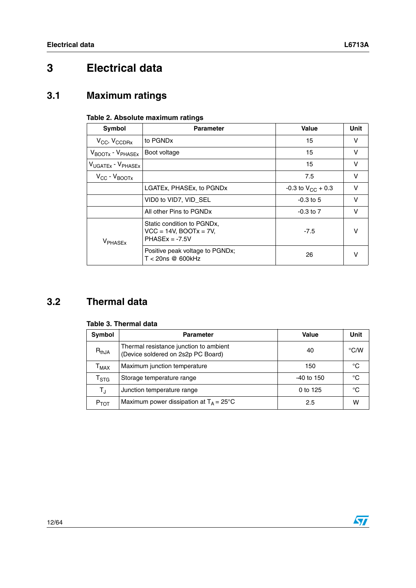# <span id="page-11-0"></span>**3 Electrical data**

# <span id="page-11-1"></span>**3.1 Maximum ratings**

#### **Table 2. Absolute maximum ratings**

| Symbol                                    | <b>Parameter</b>                                                                | Value                    | Unit   |
|-------------------------------------------|---------------------------------------------------------------------------------|--------------------------|--------|
| $V_{CC}$ , $V_{CCDRx}$                    | to PGND <sub>x</sub>                                                            | 15                       | v      |
| $V_{\text{BOOTx}}$ - $V_{\text{PHASEx}}$  | Boot voltage                                                                    | 15                       | v      |
| V <sub>UGATEx</sub> - V <sub>PHASEx</sub> |                                                                                 | 15                       | v      |
| $V_{\text{CC}}$ - $V_{\text{BOOTx}}$      |                                                                                 | 7.5                      | v      |
|                                           | LGATEX, PHASEX, to PGNDX                                                        | $-0.3$ to $V_{CC}$ + 0.3 | v      |
|                                           | VID0 to VID7, VID SEL                                                           | $-0.3$ to 5              | $\vee$ |
|                                           | All other Pins to PGNDx                                                         | $-0.3$ to $7$            | $\vee$ |
| <b>VPHASEX</b>                            | Static condition to PGNDx,<br>$VCC = 14V$ , BOOT $x = 7V$ ,<br>$PHASEx = -7.5V$ | $-7.5$                   | v      |
|                                           | Positive peak voltage to PGNDx;<br>T < 20ns @ 600kHz                            | 26                       |        |

# <span id="page-11-2"></span>**3.2 Thermal data**

#### **Table 3. Thermal data**

| <b>Symbol</b>                | <b>Parameter</b>                                                             | Value        | Unit          |
|------------------------------|------------------------------------------------------------------------------|--------------|---------------|
| $\mathsf{R}_{\mathsf{thJA}}$ | Thermal resistance junction to ambient<br>(Device soldered on 2s2p PC Board) | 40           | $\degree$ C/W |
| $T_{MAX}$                    | Maximum junction temperature                                                 | 150          | °C            |
| $\mathsf{T}_{\textsf{STG}}$  | Storage temperature range                                                    | $-40$ to 150 | °C            |
| $T_{\rm J}$                  | Junction temperature range                                                   | 0 to 125     | °C            |
| $P_{TOT}$                    | Maximum power dissipation at $T_A = 25^{\circ}C$                             | 2.5          | w             |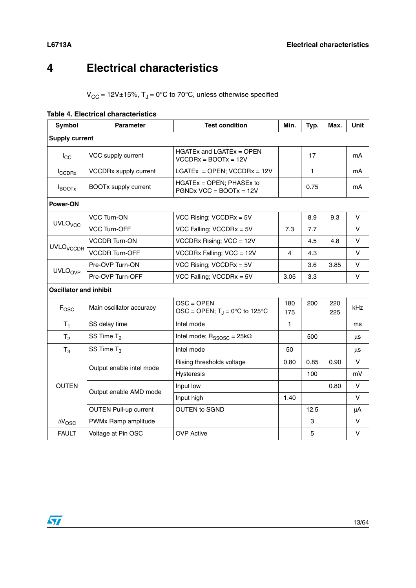# <span id="page-12-0"></span>**4 Electrical characteristics**

 $V_{CC}$  = 12V±15%,  $T_J$  = 0°C to 70°C, unless otherwise specified

| <b>Symbol</b>                 | <b>Parameter</b>             | <b>Test condition</b>                                       | Min.       | Typ. | Max.       | <b>Unit</b> |
|-------------------------------|------------------------------|-------------------------------------------------------------|------------|------|------------|-------------|
| <b>Supply current</b>         |                              |                                                             |            |      |            |             |
| $I_{\rm CC}$                  | VCC supply current           | $HGATEx$ and $LGATEx = OPEN$<br>$VCCDRx = BOOTx = 12V$      |            | 17   |            | mA          |
| <b>I</b> CCDRx                | <b>VCCDRx supply current</b> | LGATE $x =$ OPEN; VCCDR $x = 12V$                           |            | 1    |            | mA          |
| <b>BOOTX</b>                  | <b>BOOTx supply current</b>  | $HGATEX = OPEN$ ; PHASEx to<br>$PGNDx$ VCC = BOOT $x = 12V$ |            | 0.75 |            | mA          |
| Power-ON                      |                              |                                                             |            |      |            |             |
|                               | <b>VCC Turn-ON</b>           | VCC Rising; $VCCDRx = 5V$                                   |            | 8.9  | 9.3        | $\vee$      |
| <b>UVLO<sub>VCC</sub></b>     | <b>VCC Turn-OFF</b>          | VCC Falling; VCCDR $x = 5V$                                 | 7.3        | 7.7  |            | $\vee$      |
| <b>UVLO</b> <sub>VCCDR</sub>  | <b>VCCDR Turn-ON</b>         | VCCDRx Rising; VCC = 12V                                    |            | 4.5  | 4.8        | V           |
|                               | <b>VCCDR Turn-OFF</b>        | VCCDRx Falling; VCC = 12V                                   | 4          | 4.3  |            | $\vee$      |
|                               | Pre-OVP Turn-ON              | VCC Rising; $VCCDRx = 5V$                                   |            | 3.6  | 3.85       | V           |
| <b>UVLOOVP</b>                | Pre-OVP Turn-OFF             | VCC Falling; VCCDRx = $5V$                                  | 3.05       | 3.3  |            | $\vee$      |
| <b>Oscillator and inhibit</b> |                              |                                                             |            |      |            |             |
| $F_{\text{OSC}}$              | Main oscillator accuracy     | $OSC = OPEN$<br>OSC = OPEN; $T_J$ = 0°C to 125°C            | 180<br>175 | 200  | 220<br>225 | kHz         |
| $T_1$                         | SS delay time                | Intel mode                                                  | 1          |      |            | ms          |
| T <sub>2</sub>                | SS Time $T2$                 | Intel mode; $R_{SSOSC} = 25k\Omega$                         |            | 500  |            | μs          |
| $T_3$                         | SS Time $T_3$                | Intel mode                                                  | 50         |      |            | μs          |
|                               |                              | Rising thresholds voltage                                   | 0.80       | 0.85 | 0.90       | V           |
|                               | Output enable intel mode     | Hysteresis                                                  |            | 100  |            | mV          |
| <b>OUTEN</b>                  | Output enable AMD mode       | Input low                                                   |            |      | 0.80       | $\vee$      |
|                               |                              | Input high                                                  | 1.40       |      |            | v           |
|                               | <b>OUTEN Pull-up current</b> | <b>OUTEN to SGND</b>                                        |            | 12.5 |            | μA          |
| $\Delta V_{\rm OSC}$          | PWMx Ramp amplitude          |                                                             |            | 3    |            | $\vee$      |
| <b>FAULT</b>                  | Voltage at Pin OSC           | <b>OVP Active</b>                                           |            | 5    |            | $\vee$      |

#### **Table 4. Electrical characteristics**

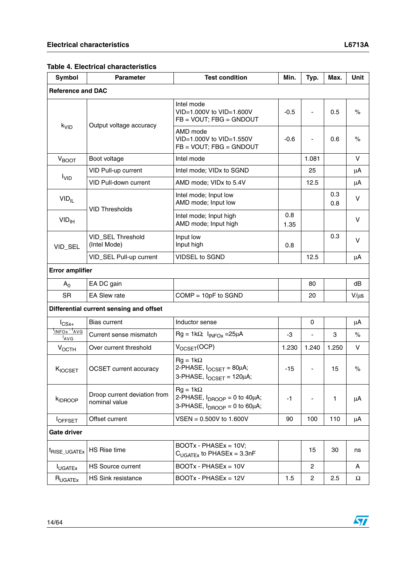#### **Table 4. Electrical characteristics**

| Symbol                              | <b>Parameter</b>                              | <b>Test condition</b>                                                                     | Min.        | Typ.                         | Max.       | Unit          |
|-------------------------------------|-----------------------------------------------|-------------------------------------------------------------------------------------------|-------------|------------------------------|------------|---------------|
| <b>Reference and DAC</b>            |                                               |                                                                                           |             |                              |            |               |
|                                     |                                               | Intel mode<br>VID=1,000V to VID=1,600V<br>$FB = VOUT$ ; FBG = GNDOUT                      | $-0.5$      | ÷,                           | 0.5        | $\%$          |
| k <sub>VID</sub>                    | Output voltage accuracy                       | AMD mode<br>VID=1.000V to VID=1.550V<br>$FB = VOUT$ ; $FBG = GNDOUT$                      | -0.6        | ÷,                           | 0.6        | $\%$          |
| V <sub>BOOT</sub>                   | Boot voltage                                  | Intel mode                                                                                |             | 1.081                        |            | V             |
|                                     | VID Pull-up current                           | Intel mode; VIDx to SGND                                                                  |             | 25                           |            | μA            |
| I <sub>VID</sub>                    | <b>VID Pull-down current</b>                  | AMD mode; VIDx to 5.4V                                                                    |             | 12.5                         |            | μA            |
| $VID_{IL}$                          | <b>VID Thresholds</b>                         | Intel mode; Input low<br>AMD mode; Input low                                              |             |                              | 0.3<br>0.8 | V             |
| VID <sub>IH</sub>                   |                                               | Intel mode; Input high<br>AMD mode; Input high                                            | 0.8<br>1.35 |                              |            | V             |
| VID_SEL                             | VID_SEL Threshold<br>(Intel Mode)             | Input low<br>Input high                                                                   | 0.8         |                              | 0.3        | $\vee$        |
|                                     | VID_SEL Pull-up current                       | <b>VIDSEL to SGND</b>                                                                     |             | 12.5                         |            | μA            |
| <b>Error amplifier</b>              |                                               |                                                                                           |             |                              |            |               |
| A <sub>0</sub>                      | EA DC gain                                    |                                                                                           |             | 80                           |            | dB            |
| <b>SR</b>                           | <b>EA Slew rate</b>                           | $COMP = 10pF$ to SGND                                                                     |             | 20                           |            | $V/\mu s$     |
|                                     | Differential current sensing and offset       |                                                                                           |             |                              |            |               |
| $I_{CSx+}$                          | Bias current                                  | Inductor sense                                                                            |             | 0                            |            | μA            |
| INFOx <sup>-I</sup> AVG<br>$^I$ AVG | Current sense mismatch                        | $Rg = 1k\Omega$ ; $I_{INFOX} = 25\mu A$                                                   | -3          |                              | 3          | $\%$          |
| $V_{OCTH}$                          | Over current threshold                        | $V_{OCSET}(OCP)$                                                                          | 1.230       | 1.240                        | 1.250      | V             |
| KIOCSET                             | <b>OCSET</b> current accuracy                 | $Rg = 1k\Omega$<br>2-PHASE, $I_{OCSET} = 80 \mu A$ ;<br>3-PHASE, IOCSET = 120µA;          | $-15$       | $\qquad \qquad \blacksquare$ | 15         | $\frac{1}{2}$ |
| KIDROOP                             | Droop current deviation from<br>nominal value | $Rg = 1k\Omega$<br>2-PHASE, $I_{DROOP} = 0$ to 40µA;<br>3-PHASE, $I_{DROOP} = 0$ to 60µA; | $-1$        |                              | 1          | μA            |
| <b>OFFSET</b>                       | Offset current                                | $VSEN = 0.500V$ to 1.600V                                                                 | 90          | 100                          | 110        | μA            |
| <b>Gate driver</b>                  |                                               |                                                                                           |             |                              |            |               |
| <sup>t</sup> RISE_UGATEx            | <b>HS Rise time</b>                           | BOOTx - PHASEx = 10V;<br>$C_{UGATEx}$ to PHASEx = 3.3nF                                   |             | 15                           | 30         | ns            |
| <b>I</b> UGATEX                     | <b>HS Source current</b>                      | $BOOTx - PHASEx = 10V$                                                                    |             | 2                            |            | A             |
| $R_{UGATEX}$                        | <b>HS Sink resistance</b>                     | BOOTx - PHASEx = 12V                                                                      | 1.5         | $\overline{\mathbf{c}}$      | 2.5        | Ω             |

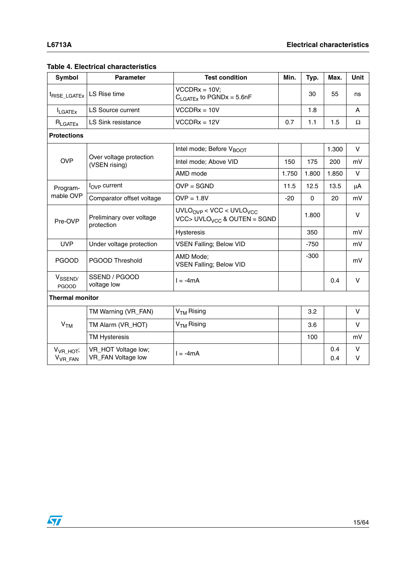| Symbol                                       | <b>Parameter</b>                          | <b>Test condition</b>                                                | Min.  | Typ.     | Max.       | <b>Unit</b> |
|----------------------------------------------|-------------------------------------------|----------------------------------------------------------------------|-------|----------|------------|-------------|
| <sup>t</sup> RISE_LGATEx                     | LS Rise time                              | $VCCDRx = 10V;$<br>$C_{\text{LGATEx}}$ to PGNDx = 5.6nF              |       | 30       | 55         | ns          |
| <b>I</b> LGATEX                              | <b>LS Source current</b>                  | $VCCDRx = 10V$                                                       |       | 1.8      |            | A           |
| $R_{\text{LGATEX}}$                          | <b>LS Sink resistance</b>                 | $VCCDRx = 12V$                                                       | 0.7   | 1.1      | 1.5        | Ω           |
| <b>Protections</b>                           |                                           |                                                                      |       |          |            |             |
|                                              |                                           | Intel mode; Before V <sub>BOOT</sub>                                 |       |          | 1.300      | $\vee$      |
| <b>OVP</b>                                   | Over voltage protection<br>(VSEN rising)  | Intel mode; Above VID                                                | 150   | 175      | 200        | mV          |
|                                              |                                           | AMD mode                                                             | 1.750 | 1.800    | 1.850      | V           |
| Program-                                     | $I_{\text{OVP}}$ current                  | $OVP = SGND$                                                         | 11.5  | 12.5     | 13.5       | μA          |
| mable OVP                                    | Comparator offset voltage                 | $OVP = 1.8V$                                                         | $-20$ | $\Omega$ | 20         | mV          |
| Pre-OVP                                      | Preliminary over voltage<br>protection    | $UVLOOVP < VCC < UVLOVCC$<br>VCC> UVLO <sub>VCC</sub> & OUTEN = SGND |       | 1.800    |            | $\vee$      |
|                                              |                                           | Hysteresis                                                           |       | 350      |            | mV          |
| <b>UVP</b>                                   | Under voltage protection                  | <b>VSEN Falling; Below VID</b>                                       |       | $-750$   |            | mV          |
| <b>PGOOD</b>                                 | PGOOD Threshold                           | AMD Mode;<br><b>VSEN Falling; Below VID</b>                          |       | $-300$   |            | mV          |
| V <sub>SSEND</sub><br><b>PGOOD</b>           | SSEND / PGOOD<br>voltage low              | $l = -4mA$                                                           |       |          | 0.4        | V           |
| <b>Thermal monitor</b>                       |                                           |                                                                      |       |          |            |             |
|                                              | TM Warning (VR_FAN)                       | $VTM$ Rising                                                         |       | 3.2      |            | V           |
| V <sub>TM</sub>                              | TM Alarm (VR_HOT)                         | V <sub>TM</sub> Rising                                               |       | 3.6      |            | V           |
|                                              | <b>TM Hysteresis</b>                      |                                                                      |       | 100      |            | mV          |
| V <sub>VR_HOT</sub> ;<br>V <sub>VR_FAN</sub> | VR_HOT Voltage low;<br>VR_FAN Voltage low | $l = -4mA$                                                           |       |          | 0.4<br>0.4 | V<br>$\vee$ |

#### **Table 4. Electrical characteristics**

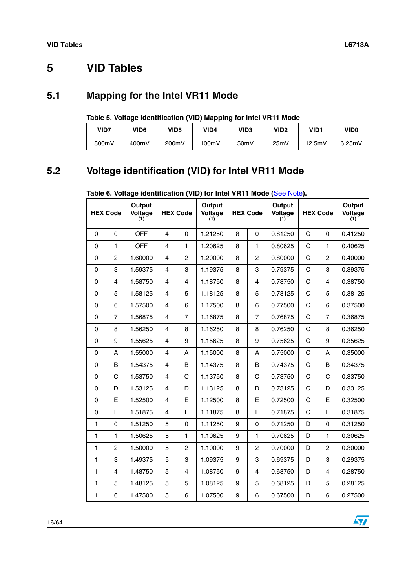# <span id="page-15-0"></span>**5 VID Tables**

# <span id="page-15-1"></span>**5.1 Mapping for the Intel VR11 Mode**

|  | Table 5. Voltage identification (VID) Mapping for Intel VR11 Mode |  |
|--|-------------------------------------------------------------------|--|
|--|-------------------------------------------------------------------|--|

| VID7  | VID <sub>6</sub> | VID5  | VID4  | VID3              | VID <sub>2</sub> | VID1   | <b>VID0</b> |
|-------|------------------|-------|-------|-------------------|------------------|--------|-------------|
| 800mV | 400mV            | 200mV | 100mV | 50 <sub>m</sub> V | 25mV             | 12.5mV | 6.25mV      |

# <span id="page-15-2"></span>**5.2 Voltage identification (VID) for Intel VR11 Mode**

|             | <b>HEX Code</b> | Output<br>Voltage<br>(1) |                | <b>HEX Code</b>         | Output<br>Voltage<br>(1) |   | <b>HEX Code</b> | Output<br>Voltage<br>(1) |   | <b>HEX Code</b> | Output<br>Voltage<br>(1) |
|-------------|-----------------|--------------------------|----------------|-------------------------|--------------------------|---|-----------------|--------------------------|---|-----------------|--------------------------|
| $\Omega$    | $\mathbf 0$     | <b>OFF</b>               | $\overline{4}$ | $\mathbf 0$             | 1.21250                  | 8 | $\Omega$        | 0.81250                  | C | $\Omega$        | 0.41250                  |
| $\Omega$    | 1               | <b>OFF</b>               | 4              | 1                       | 1.20625                  | 8 | 1               | 0.80625                  | C | 1               | 0.40625                  |
| $\Omega$    | $\overline{c}$  | 1.60000                  | $\overline{4}$ | $\overline{c}$          | 1.20000                  | 8 | $\overline{c}$  | 0.80000                  | C | $\overline{c}$  | 0.40000                  |
| $\mathbf 0$ | 3               | 1.59375                  | $\overline{4}$ | 3                       | 1.19375                  | 8 | 3               | 0.79375                  | C | 3               | 0.39375                  |
| $\Omega$    | 4               | 1.58750                  | $\overline{4}$ | 4                       | 1.18750                  | 8 | $\overline{4}$  | 0.78750                  | C | 4               | 0.38750                  |
| $\mathbf 0$ | 5               | 1.58125                  | $\overline{4}$ | 5                       | 1.18125                  | 8 | 5               | 0.78125                  | C | 5               | 0.38125                  |
| 0           | 6               | 1.57500                  | 4              | 6                       | 1.17500                  | 8 | 6               | 0.77500                  | C | 6               | 0.37500                  |
| $\Omega$    | $\overline{7}$  | 1.56875                  | 4              | $\overline{7}$          | 1.16875                  | 8 | $\overline{7}$  | 0.76875                  | C | $\overline{7}$  | 0.36875                  |
| $\Omega$    | 8               | 1.56250                  | 4              | 8                       | 1.16250                  | 8 | 8               | 0.76250                  | C | 8               | 0.36250                  |
| $\Omega$    | 9               | 1.55625                  | $\overline{4}$ | 9                       | 1.15625                  | 8 | 9               | 0.75625                  | C | 9               | 0.35625                  |
| 0           | A               | 1.55000                  | 4              | A                       | 1.15000                  | 8 | A               | 0.75000                  | C | A               | 0.35000                  |
| 0           | B               | 1.54375                  | 4              | B                       | 1.14375                  | 8 | B               | 0.74375                  | C | B               | 0.34375                  |
| 0           | C               | 1.53750                  | $\overline{4}$ | C                       | 1.13750                  | 8 | C               | 0.73750                  | C | C               | 0.33750                  |
| $\mathbf 0$ | D               | 1.53125                  | 4              | D                       | 1.13125                  | 8 | D               | 0.73125                  | C | D               | 0.33125                  |
| $\Omega$    | E               | 1.52500                  | $\overline{4}$ | E                       | 1.12500                  | 8 | E               | 0.72500                  | C | E               | 0.32500                  |
| $\mathbf 0$ | F               | 1.51875                  | $\overline{4}$ | F                       | 1.11875                  | 8 | F               | 0.71875                  | C | F               | 0.31875                  |
| 1           | 0               | 1.51250                  | 5              | 0                       | 1.11250                  | 9 | $\Omega$        | 0.71250                  | D | 0               | 0.31250                  |
| 1           | 1               | 1.50625                  | 5              | 1                       | 1.10625                  | 9 | 1               | 0.70625                  | D | 1               | 0.30625                  |
| 1           | $\overline{2}$  | 1.50000                  | 5              | $\overline{c}$          | 1.10000                  | 9 | $\overline{c}$  | 0.70000                  | D | $\overline{2}$  | 0.30000                  |
| 1           | 3               | 1.49375                  | 5              | 3                       | 1.09375                  | 9 | 3               | 0.69375                  | D | 3               | 0.29375                  |
| 1           | 4               | 1.48750                  | 5              | $\overline{\mathbf{4}}$ | 1.08750                  | 9 | 4               | 0.68750                  | D | $\overline{4}$  | 0.28750                  |
| 1           | 5               | 1.48125                  | 5              | 5                       | 1.08125                  | 9 | 5               | 0.68125                  | D | 5               | 0.28125                  |
| 1           | 6               | 1.47500                  | 5              | 6                       | 1.07500                  | 9 | 6               | 0.67500                  | D | 6               | 0.27500                  |

### **Table 6. Voltage identification (VID) for Intel VR11 Mode (**See Note**).**

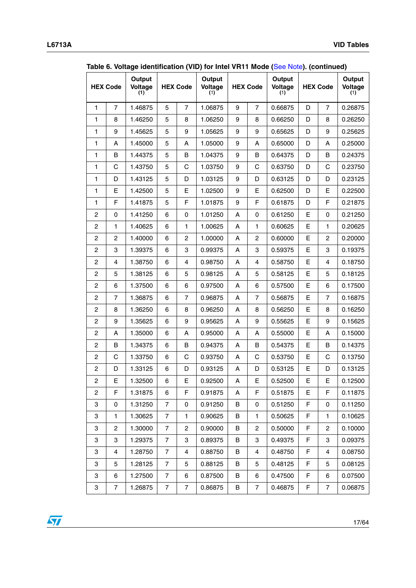|                | <b>HEX Code</b> | Output<br>Voltage<br>(1) |                | <b>HEX Code</b>  | Output<br>Voltage<br>(1) |   | <b>HEX Code</b>           | Output<br>Voltage<br>(1) | <b>HEX Code</b> |                           | Output<br>Voltage<br>(1) |
|----------------|-----------------|--------------------------|----------------|------------------|--------------------------|---|---------------------------|--------------------------|-----------------|---------------------------|--------------------------|
| $\mathbf{1}$   | $\overline{7}$  | 1.46875                  | 5              | $\overline{7}$   | 1.06875                  | 9 | $\overline{7}$            | 0.66875                  | D               | $\overline{7}$            | 0.26875                  |
| 1              | 8               | 1.46250                  | 5              | 8                | 1.06250                  | 9 | 8                         | 0.66250                  | D               | 8                         | 0.26250                  |
| 1              | 9               | 1.45625                  | 5              | 9                | 1.05625                  | 9 | 9                         | 0.65625                  | D               | 9                         | 0.25625                  |
| 1              | Α               | 1.45000                  | 5              | A                | 1.05000                  | 9 | A                         | 0.65000                  | D               | Α                         | 0.25000                  |
| 1              | B               | 1.44375                  | 5              | B                | 1.04375                  | 9 | B                         | 0.64375                  | D               | B                         | 0.24375                  |
| $\mathbf{1}$   | $\mathbf C$     | 1.43750                  | 5              | $\mathbf C$      | 1.03750                  | 9 | C                         | 0.63750                  | D               | $\mathsf C$               | 0.23750                  |
| $\mathbf{1}$   | D               | 1.43125                  | 5              | D                | 1.03125                  | 9 | D                         | 0.63125                  | D               | D                         | 0.23125                  |
| 1              | Е               | 1.42500                  | 5              | Е                | 1.02500                  | 9 | E                         | 0.62500                  | D               | E                         | 0.22500                  |
| 1              | F               | 1.41875                  | 5              | F                | 1.01875                  | 9 | $\mathsf F$               | 0.61875                  | D               | F                         | 0.21875                  |
| $\overline{c}$ | 0               | 1.41250                  | 6              | 0                | 1.01250                  | A | $\pmb{0}$                 | 0.61250                  | E               | 0                         | 0.21250                  |
| $\mathbf{2}$   | $\mathbf{1}$    | 1.40625                  | 6              | $\mathbf{1}$     | 1.00625                  | Α | $\mathbf{1}$              | 0.60625                  | E               | $\mathbf{1}$              | 0.20625                  |
| $\mathbf{2}$   | $\overline{c}$  | 1.40000                  | 6              | $\overline{c}$   | 1.00000                  | A | $\overline{c}$            | 0.60000                  | E               | $\overline{c}$            | 0.20000                  |
| $\overline{c}$ | 3               | 1.39375                  | 6              | 3                | 0.99375                  | A | $\ensuremath{\mathsf{3}}$ | 0.59375                  | E               | $\ensuremath{\mathsf{3}}$ | 0.19375                  |
| $\overline{c}$ | 4               | 1.38750                  | 6              | $\overline{4}$   | 0.98750                  | Α | 4                         | 0.58750                  | E               | $\overline{4}$            | 0.18750                  |
| $\overline{c}$ | 5               | 1.38125                  | 6              | 5                | 0.98125                  | А | 5                         | 0.58125                  | E               | 5                         | 0.18125                  |
| $\overline{c}$ | 6               | 1.37500                  | 6              | 6                | 0.97500                  | Α | 6                         | 0.57500                  | E               | 6                         | 0.17500                  |
| $\mathbf{2}$   | $\overline{7}$  | 1.36875                  | 6              | $\overline{7}$   | 0.96875                  | Α | $\overline{7}$            | 0.56875                  | E               | $\overline{7}$            | 0.16875                  |
| $\mathbf{2}$   | 8               | 1.36250                  | 6              | 8                | 0.96250                  | Α | 8                         | 0.56250                  | E               | 8                         | 0.16250                  |
| $\overline{c}$ | 9               | 1.35625                  | 6              | $\boldsymbol{9}$ | 0.95625                  | A | $\boldsymbol{9}$          | 0.55625                  | E               | $\boldsymbol{9}$          | 0.15625                  |
| $\overline{c}$ | А               | 1.35000                  | 6              | Α                | 0.95000                  | А | Α                         | 0.55000                  | E               | Α                         | 0.15000                  |
| $\overline{c}$ | B               | 1.34375                  | 6              | B                | 0.94375                  | А | B                         | 0.54375                  | E               | B                         | 0.14375                  |
| $\overline{c}$ | C               | 1.33750                  | 6              | C                | 0.93750                  | Α | C                         | 0.53750                  | E               | C                         | 0.13750                  |
| $\overline{c}$ | D               | 1.33125                  | 6              | D                | 0.93125                  | Α | D                         | 0.53125                  | Ε               | D                         | 0.13125                  |
| $\overline{c}$ | E               | 1.32500                  | $\,6\,$        | Е                | 0.92500                  | Α | E                         | 0.52500                  | E               | E                         | 0.12500                  |
| $\overline{2}$ | F               | 1.31875                  | 6              | F.               | 0.91875                  | A | F                         | 0.51875                  | Е               | F                         | 0.11875                  |
| 3              | 0               | 1.31250                  | 7              | 0                | 0.91250                  | В | 0                         | 0.51250                  | F               | 0                         | 0.11250                  |
| 3              | 1               | 1.30625                  | 7              | 1.               | 0.90625                  | В | 1                         | 0.50625                  | F               | 1                         | 0.10625                  |
| 3              | 2               | 1.30000                  | 7              | $\overline{c}$   | 0.90000                  | В | $\overline{c}$            | 0.50000                  | F               | $\overline{c}$            | 0.10000                  |
| 3              | 3               | 1.29375                  | 7              | 3                | 0.89375                  | B | 3                         | 0.49375                  | F               | 3                         | 0.09375                  |
| 3              | 4               | 1.28750                  | $\overline{7}$ | 4                | 0.88750                  | В | $\overline{4}$            | 0.48750                  | F               | 4                         | 0.08750                  |
| 3              | 5               | 1.28125                  | $\overline{7}$ | 5                | 0.88125                  | В | 5                         | 0.48125                  | F               | 5                         | 0.08125                  |
| 3              | 6               | 1.27500                  | 7              | 6                | 0.87500                  | В | 6                         | 0.47500                  | F               | 6                         | 0.07500                  |
| 3              | $\overline{7}$  | 1.26875                  | 7              | 7                | 0.86875                  | В | $\overline{7}$            | 0.46875                  | F               | $\overline{7}$            | 0.06875                  |

**Table 6. Voltage identification (VID) for Intel VR11 Mode (**See Note**). (continued)**

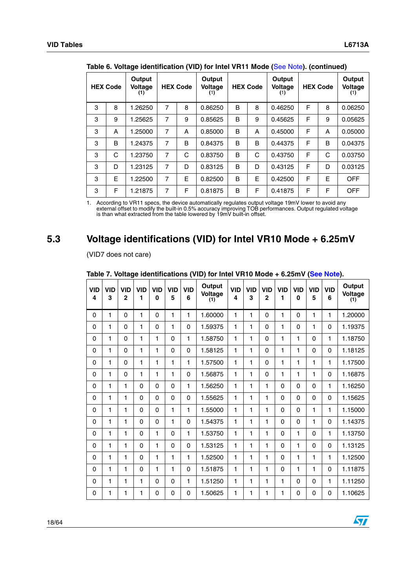|   | <b>HEX Code</b> | Output<br>Voltage<br>(1) |   | <b>HEX Code</b> | Output<br><b>Voltage</b><br>(1) |   | <b>HEX Code</b> | Output<br>Voltage<br>(1) |   | <b>HEX Code</b> | Output<br>Voltage<br>(1) |
|---|-----------------|--------------------------|---|-----------------|---------------------------------|---|-----------------|--------------------------|---|-----------------|--------------------------|
| 3 | 8               | 1.26250                  | 7 | 8               | 0.86250                         | B | 8               | 0.46250                  | F | 8               | 0.06250                  |
| 3 | 9               | 1.25625                  | 7 | 9               | 0.85625                         | B | 9               | 0.45625                  | F | 9               | 0.05625                  |
| 3 | A               | 1.25000                  | 7 | A               | 0.85000                         | B | A               | 0.45000                  | F | A               | 0.05000                  |
| 3 | B               | 1.24375                  | 7 | B               | 0.84375                         | B | B               | 0.44375                  | F | B               | 0.04375                  |
| 3 | C               | 1.23750                  | 7 | C               | 0.83750                         | B | C               | 0.43750                  | F | C               | 0.03750                  |
| 3 | D               | 1.23125                  | 7 | D               | 0.83125                         | B | D               | 0.43125                  | F | D               | 0.03125                  |
| 3 | E               | 1.22500                  | 7 | E               | 0.82500                         | B | E               | 0.42500                  | F | E               | <b>OFF</b>               |
| 3 | F               | 1.21875                  | 7 | F               | 0.81875                         | B | F               | 0.41875                  | F | F               | <b>OFF</b>               |

**Table 6. Voltage identification (VID) for Intel VR11 Mode (**See Note**). (continued)**

1. According to VR11 specs, the device automatically regulates output voltage 19mV lower to avoid any external offset to modify the built-in 0.5% accuracy improving TOB performances. Output regulated voltage is than what extracted from the table lowered by 19mV built-in offset.

# <span id="page-17-0"></span>**5.3 Voltage identifications (VID) for Intel VR10 Mode + 6.25mV**

(VID7 does not care)

| <b>VID</b><br>$\overline{\mathbf{4}}$ | <b>VID</b><br>3 | <b>VID</b><br>$\mathbf{2}$ | <b>VID</b><br>1 | <b>VID</b><br>$\bf{0}$ | <b>VID</b><br>5 | <b>VID</b><br>6 | Output<br>Voltage<br>(1) | <b>VID</b><br>4 | <b>VID</b><br>3 | <b>VID</b><br>$\mathbf{2}$ | <b>VID</b><br>1 | <b>VID</b><br>$\bf{0}$ | <b>VID</b><br>5 | <b>VID</b><br>6 | Output<br>Voltage<br>(1) |
|---------------------------------------|-----------------|----------------------------|-----------------|------------------------|-----------------|-----------------|--------------------------|-----------------|-----------------|----------------------------|-----------------|------------------------|-----------------|-----------------|--------------------------|
| 0                                     | 1               | $\Omega$                   | 1               | $\Omega$               | 1               | 1               | 1.60000                  | 1               | 1               | $\Omega$                   | 1               | 0                      | 1               | 1               | 1.20000                  |
| 0                                     | 1               | $\mathbf 0$                | 1               | $\Omega$               | 1               | 0               | 1.59375                  | 1               | 1               | $\Omega$                   | 1               | $\mathbf 0$            | 1               | $\Omega$        | 1.19375                  |
| 0                                     | 1               | $\mathbf 0$                | 1               | 1                      | 0               | 1               | 1.58750                  | 1               | 1               | $\mathbf 0$                | 1               | 1                      | 0               | 1               | 1.18750                  |
| 0                                     | 1               | $\mathbf 0$                | 1               | 1                      | 0               | 0               | 1.58125                  | 1               | 1               | $\mathbf 0$                | 1               | 1                      | 0               | 0               | 1.18125                  |
| 0                                     | 1               | $\mathbf 0$                | 1               | 1                      | 1               | 1               | 1.57500                  | 1               | 1               | $\mathbf 0$                | 1               | 1                      | 1               | 1               | 1.17500                  |
| 0                                     | 1               | $\mathbf 0$                | 1               | 1                      | 1               | 0               | 1.56875                  | 1               | 1               | $\mathbf 0$                | 1               | 1                      | 1               | $\Omega$        | 1.16875                  |
| 0                                     | 1               | 1                          | 0               | $\Omega$               | 0               | 1               | 1.56250                  | 1               | 1               | 1                          | 0               | $\Omega$               | 0               | 1               | 1.16250                  |
| 0                                     | 1               | 1                          | 0               | $\Omega$               | 0               | 0               | 1.55625                  | 1               | 1               | 1                          | 0               | $\mathbf 0$            | 0               | $\Omega$        | 1.15625                  |
| $\mathbf 0$                           | 1               | 1                          | 0               | $\Omega$               | 1               | 1               | 1.55000                  | 1               | 1               | 1                          | 0               | 0                      | 1               | 1               | 1.15000                  |
| 0                                     | 1               | 1                          | 0               | $\Omega$               | 1               | 0               | 1.54375                  | 1               | 1               | 1                          | 0               | $\mathbf 0$            | 1               | $\Omega$        | 1.14375                  |
| 0                                     | 1               | 1                          | 0               | 1                      | 0               | 1               | 1.53750                  | 1               | 1               | 1                          | 0               | 1                      | 0               | 1               | 1.13750                  |
| 0                                     | 1               | 1                          | 0               | 1                      | 0               | 0               | 1.53125                  | 1               | 1               | 1                          | 0               | 1                      | 0               | $\Omega$        | 1.13125                  |
| $\mathbf 0$                           | 1               | 1                          | 0               | 1                      | 1               | 1               | 1.52500                  | 1               | 1               | 1                          | 0               | 1                      | 1               | 1               | 1.12500                  |
| 0                                     | 1               | 1                          | 0               | 1                      | 1               | 0               | 1.51875                  | 1               | 1               | 1                          | 0               | 1                      | 1               | $\mathbf 0$     | 1.11875                  |
| 0                                     | 1               | 1                          | 1               | $\Omega$               | $\Omega$        | 1               | 1.51250                  | 1               | 1               | 1                          | 1               | $\Omega$               | 0               | 1               | 1.11250                  |
| $\mathbf 0$                           | 1               | 1                          | 1               | $\Omega$               | $\overline{0}$  | 0               | 1.50625                  | 1               | 1               | 1                          | 1               | $\mathbf 0$            | 0               | $\mathbf 0$     | 1.10625                  |

#### **Table 7. Voltage identifications (VID) for Intel VR10 Mode + 6.25mV (See Note).**

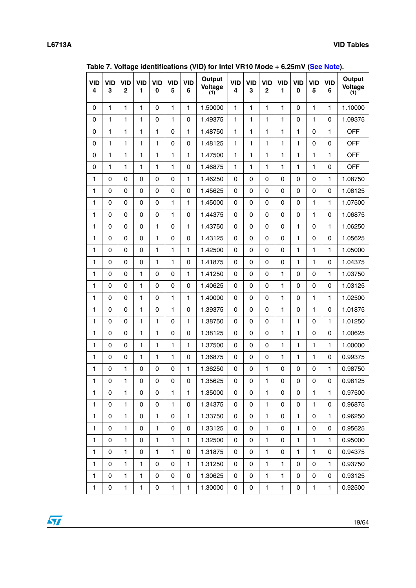|                 |                 |                            |                 |                 |                 |                 | Table 7. Voltage Identifications (VID) for filter VNTU MOde + 0.25/11V (See Note). |                 |                 |                            |                            |                        |                 |                 |                          |
|-----------------|-----------------|----------------------------|-----------------|-----------------|-----------------|-----------------|------------------------------------------------------------------------------------|-----------------|-----------------|----------------------------|----------------------------|------------------------|-----------------|-----------------|--------------------------|
| <b>VID</b><br>4 | <b>VID</b><br>3 | <b>VID</b><br>$\mathbf{2}$ | <b>VID</b><br>1 | <b>VID</b><br>0 | <b>VID</b><br>5 | <b>VID</b><br>6 | Output<br>Voltage<br>(1)                                                           | <b>VID</b><br>4 | <b>VID</b><br>3 | <b>VID</b><br>$\mathbf{2}$ | <b>VID</b><br>$\mathbf{1}$ | <b>VID</b><br>$\bf{0}$ | <b>VID</b><br>5 | <b>VID</b><br>6 | Output<br>Voltage<br>(1) |
| $\mathbf 0$     | $\mathbf{1}$    | $\mathbf{1}$               | $\mathbf{1}$    | 0               | $\mathbf{1}$    | $\mathbf{1}$    | 1.50000                                                                            | $\mathbf{1}$    | $\mathbf{1}$    | $\mathbf{1}$               | $\mathbf{1}$               | 0                      | $\mathbf{1}$    | $\mathbf{1}$    | 1.10000                  |
| $\mathbf 0$     | $\mathbf{1}$    | $\mathbf{1}$               | $\mathbf{1}$    | 0               | $\mathbf{1}$    | 0               | 1.49375                                                                            | $\mathbf{1}$    | $\mathbf{1}$    | $\mathbf{1}$               | $\mathbf{1}$               | 0                      | $\mathbf{1}$    | 0               | 1.09375                  |
| 0               | 1               | 1                          | 1               | $\mathbf{1}$    | $\mathsf 0$     | $\blacksquare$  | 1.48750                                                                            | $\mathbf{1}$    | 1               | $\mathbf{1}$               | 1                          | 1                      | 0               | 1               | <b>OFF</b>               |
| 0               | 1               | $\mathbf{1}$               | 1               | $\mathbf{1}$    | 0               | 0               | 1.48125                                                                            | $\mathbf{1}$    | $\mathbf{1}$    | $\mathbf{1}$               | $\mathbf{1}$               | 1                      | 0               | 0               | <b>OFF</b>               |
| $\mathbf 0$     | 1               | $\mathbf{1}$               | $\mathbf{1}$    | $\mathbf{1}$    | $\mathbf{1}$    | $\mathbf{1}$    | 1.47500                                                                            | $\mathbf{1}$    | $\mathbf{1}$    | $\mathbf{1}$               | $\mathbf{1}$               | $\mathbf{1}$           | $\mathbf{1}$    | $\mathbf{1}$    | <b>OFF</b>               |
| 0               | 1               | $\mathbf{1}$               | 1               | $\mathbf{1}$    | $\mathbf{1}$    | 0               | 1.46875                                                                            | $\mathbf{1}$    | $\mathbf{1}$    | $\mathbf{1}$               | $\mathbf{1}$               | $\mathbf{1}$           | $\mathbf{1}$    | 0               | <b>OFF</b>               |
| $\mathbf{1}$    | $\mathbf 0$     | $\mathbf 0$                | 0               | 0               | $\mathbf 0$     | 1               | 1.46250                                                                            | $\mathbf 0$     | 0               | 0                          | 0                          | 0                      | $\pmb{0}$       | $\mathbf{1}$    | 1.08750                  |
| $\mathbf{1}$    | $\mathbf 0$     | 0                          | 0               | 0               | $\mathbf 0$     | 0               | 1.45625                                                                            | $\mathbf 0$     | $\mathsf 0$     | $\mathsf 0$                | 0                          | 0                      | $\mathsf 0$     | 0               | 1.08125                  |
| 1               | 0               | 0                          | 0               | $\mathsf 0$     | $\mathbf{1}$    | 1               | 1.45000                                                                            | 0               | 0               | 0                          | 0                          | 0                      | $\mathbf{1}$    | 1               | 1.07500                  |
| 1               | 0               | 0                          | 0               | 0               | $\mathbf{1}$    | 0               | 1.44375                                                                            | 0               | 0               | 0                          | 0                          | 0                      | 1               | 0               | 1.06875                  |
| $\mathbf{1}$    | $\Omega$        | 0                          | 0               | 1               | $\mathbf 0$     | $\mathbf{1}$    | 1.43750                                                                            | 0               | 0               | 0                          | 0                          | $\mathbf{1}$           | 0               | 1               | 1.06250                  |
| $\mathbf{1}$    | $\mathbf 0$     | $\mathbf 0$                | 0               | 1               | $\mathsf 0$     | 0               | 1.43125                                                                            | 0               | 0               | 0                          | 0                          | $\mathbf{1}$           | $\pmb{0}$       | 0               | 1.05625                  |
| $\mathbf{1}$    | 0               | $\mathbf 0$                | 0               | $\mathbf{1}$    | $\mathbf{1}$    | 1               | 1.42500                                                                            | $\mathbf 0$     | 0               | 0                          | 0                          | $\mathbf{1}$           | $\mathbf{1}$    | 1               | 1.05000                  |
| 1               | $\mathbf 0$     | 0                          | 0               | $\mathbf{1}$    | $\mathbf{1}$    | 0               | 1.41875                                                                            | 0               | 0               | 0                          | 0                          | $\mathbf{1}$           | $\mathbf{1}$    | 0               | 1.04375                  |
| 1               | 0               | 0                          | 1               | 0               | $\mathsf 0$     | $\mathbf{1}$    | 1.41250                                                                            | 0               | 0               | 0                          | 1                          | 0                      | $\mathsf 0$     | $\mathbf{1}$    | 1.03750                  |
| 1               | 0               | 0                          | 1               | $\mathbf 0$     | 0               | 0               | 1.40625                                                                            | 0               | 0               | 0                          | $\mathbf{1}$               | 0                      | 0               | 0               | 1.03125                  |
| $\mathbf{1}$    | $\Omega$        | $\mathbf 0$                | 1               | $\mathbf 0$     | $\mathbf{1}$    | $\mathbf{1}$    | 1.40000                                                                            | 0               | 0               | 0                          | $\mathbf{1}$               | 0                      | $\mathbf{1}$    | $\mathbf{1}$    | 1.02500                  |
| $\mathbf{1}$    | $\mathbf 0$     | $\mathbf 0$                | 1               | $\mathbf 0$     | $\mathbf{1}$    | 0               | 1.39375                                                                            | 0               | $\mathsf 0$     | 0                          | $\mathbf{1}$               | 0                      | $\mathbf{1}$    | 0               | 1.01875                  |
| $\mathbf{1}$    | $\mathbf 0$     | $\mathbf 0$                | 1               | $\mathbf{1}$    | 0               | $\mathbf{1}$    | 1.38750                                                                            | $\mathbf 0$     | 0               | 0                          | $\mathbf{1}$               | $\mathbf{1}$           | $\pmb{0}$       | $\mathbf{1}$    | 1.01250                  |
| $\mathbf{1}$    | $\mathbf 0$     | 0                          | $\mathbf{1}$    | $\mathbf{1}$    | $\mathsf 0$     | 0               | 1.38125                                                                            | $\mathbf 0$     | 0               | 0                          | $\mathbf{1}$               | $\mathbf{1}$           | $\pmb{0}$       | 0               | 1.00625                  |
| 1               | $\mathbf 0$     | 0                          | 1               | $\mathbf{1}$    | $\mathbf{1}$    | $\mathbf{1}$    | 1.37500                                                                            | 0               | 0               | 0                          | $\mathbf{1}$               | $\mathbf{1}$           | $\mathbf{1}$    | 1               | 1.00000                  |
| 1               | 0               | 0                          | 1               | $\mathbf{1}$    | $\mathbf{1}$    | 0               | 1.36875                                                                            | 0               | 0               | 0                          | $\mathbf{1}$               | 1                      | 1               | 0               | 0.99375                  |
| 1               | 0               | $\mathbf{1}$               | $\mathsf 0$     | 0               | $\mathsf 0$     | $\mathbf{1}$    | 1.36250                                                                            | 0               | 0               | $\mathbf{1}$               | 0                          | 0                      | 0               | $\mathbf{1}$    | 0.98750                  |
| $\mathbf{1}$    | 0               | $\mathbf{1}$               | 0               | 0               | $\mathsf 0$     | 0               | 1.35625                                                                            | $\pmb{0}$       | $\mathsf 0$     | $\mathbf{1}$               | $\mathsf 0$                | 0                      | $\mathsf 0$     | $\mathsf 0$     | 0.98125                  |
| 1               | 0               | $\mathbf{1}$               | 0               | 0               | $\mathbf{1}$    | 1               | 1.35000                                                                            | 0               | 0               | $\mathbf{1}$               | 0                          | 0                      | $\mathbf{1}$    | $\mathbf{1}$    | 0.97500                  |
| 1               | $\mathbf 0$     | $\mathbf{1}$               | 0               | 0               | $\mathbf{1}$    | 0               | 1.34375                                                                            | 0               | 0               | $\mathbf{1}$               | 0                          | 0                      | 1               | 0               | 0.96875                  |
| 1               | 0               | $\mathbf{1}$               | 0               | 1               | 0               | 1               | 1.33750                                                                            | 0               | 0               | $\mathbf{1}$               | 0                          | 1                      | 0               | 1               | 0.96250                  |
| 1               | 0               | 1                          | 0               | 1               | 0               | 0               | 1.33125                                                                            | 0               | 0               | $\mathbf{1}$               | 0                          | 1                      | 0               | 0               | 0.95625                  |
| 1.              | $\Omega$        | $\mathbf{1}$               | 0               | 1               | 1               | $\mathbf{1}$    | 1.32500                                                                            | 0               | 0               | $\mathbf{1}$               | 0                          | $\mathbf{1}$           | 1               | 1               | 0.95000                  |
| 1               | $\mathbf 0$     | $\mathbf{1}$               | 0               | 1               | $\mathbf{1}$    | 0               | 1.31875                                                                            | 0               | 0               | $\mathbf{1}$               | 0                          | 1                      | 1               | 0               | 0.94375                  |
| 1               | $\mathbf 0$     | $\mathbf{1}$               | 1               | 0               | 0               | $\mathbf{1}$    | 1.31250                                                                            | 0               | 0               | $\mathbf{1}$               | 1                          | 0                      | 0               | $\mathbf{1}$    | 0.93750                  |
| 1               | 0               | $\mathbf{1}$               | 1               | 0               | 0               | 0               | 1.30625                                                                            | 0               | 0               | $\mathbf{1}$               | 1                          | 0                      | 0               | 0               | 0.93125                  |
| 1               | 0               | 1                          | 1               | 0               | $\mathbf{1}$    | 1               | 1.30000                                                                            | 0               | 0               | $\mathbf{1}$               | $\mathbf{1}$               | 0                      | 1               | 1               | 0.92500                  |

**Table 7. Voltage identifications (VID) for Intel VR10 Mode + 6.25mV (See Note).**

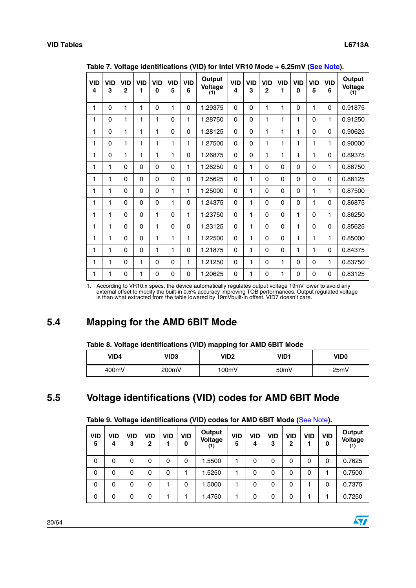|                 | rable r. voltage luchtingations (vid) for mitch virtuo mode + 0.20111 (Occ Note). |                            |                 |                        |                 |                 |                          |                 |                 |                            |                 |                 |                 |                 |                          |
|-----------------|-----------------------------------------------------------------------------------|----------------------------|-----------------|------------------------|-----------------|-----------------|--------------------------|-----------------|-----------------|----------------------------|-----------------|-----------------|-----------------|-----------------|--------------------------|
| <b>VID</b><br>4 | <b>VID</b><br>3                                                                   | <b>VID</b><br>$\mathbf{2}$ | <b>VID</b><br>1 | <b>VID</b><br>$\bf{0}$ | <b>VID</b><br>5 | <b>VID</b><br>6 | Output<br>Voltage<br>(1) | <b>VID</b><br>4 | <b>VID</b><br>3 | <b>VID</b><br>$\mathbf{2}$ | <b>VID</b><br>1 | <b>VID</b><br>0 | <b>VID</b><br>5 | <b>VID</b><br>6 | Output<br>Voltage<br>(1) |
| 1               | $\mathbf 0$                                                                       | 1                          | 1               | $\Omega$               | 1               | $\Omega$        | 1.29375                  | $\Omega$        | $\Omega$        | $\mathbf{1}$               | $\mathbf{1}$    | 0               | 1               | 0               | 0.91875                  |
| 1               | $\Omega$                                                                          | $\mathbf{1}$               | 1               | 1                      | $\Omega$        | 1               | 1.28750                  | $\Omega$        | $\Omega$        | $\mathbf{1}$               | 1               | 1               | 0               | $\mathbf{1}$    | 0.91250                  |
| 1               | $\mathbf 0$                                                                       | 1                          | 1               | 1                      | $\Omega$        | $\Omega$        | 1.28125                  | $\Omega$        | $\Omega$        | 1                          | 1               | 1               | 0               | 0               | 0.90625                  |
| 1               | $\mathbf 0$                                                                       | 1                          | 1               | 1                      | 1               | 1               | 1.27500                  | $\Omega$        | $\Omega$        | 1                          | 1               | 1               | 1               | $\mathbf{1}$    | 0.90000                  |
| 1               | $\Omega$                                                                          | 1                          | 1               | 1                      | 1               | $\Omega$        | 1.26875                  | $\Omega$        | $\Omega$        | 1                          | 1               | 1               | 1               | $\Omega$        | 0.89375                  |
| 1               | 1                                                                                 | $\Omega$                   | $\Omega$        | $\Omega$               | $\Omega$        | 1               | 1.26250                  | $\Omega$        | 1               | 0                          | $\Omega$        | 0               | 0               | 1               | 0.88750                  |
| 1               | 1                                                                                 | $\Omega$                   | $\Omega$        | $\Omega$               | $\Omega$        | $\Omega$        | 1.25625                  | $\Omega$        | 1               | 0                          | $\mathbf 0$     | 0               | 0               | 0               | 0.88125                  |
| 1               | 1                                                                                 | $\Omega$                   | $\Omega$        | 0                      | 1               | 1               | 1.25000                  | $\Omega$        | 1               | 0                          | $\mathbf 0$     | 0               | 1               | 1               | 0.87500                  |
| 1               | 1                                                                                 | $\Omega$                   | $\Omega$        | $\Omega$               | 1               | $\Omega$        | 1.24375                  | $\Omega$        | 1               | $\mathbf 0$                | $\mathbf 0$     | 0               | 1               | $\Omega$        | 0.86875                  |
| 1               | 1                                                                                 | $\Omega$                   | $\Omega$        | 1                      | $\Omega$        | 1               | 1.23750                  | $\Omega$        | 1               | $\Omega$                   | $\mathbf 0$     | 1               | 0               | $\mathbf{1}$    | 0.86250                  |
| 1               | 1                                                                                 | $\Omega$                   | $\Omega$        | $\mathbf{1}$           | $\Omega$        | $\Omega$        | 1.23125                  | $\Omega$        | 1               | $\Omega$                   | $\mathbf 0$     | 1               | 0               | 0               | 0.85625                  |
| 1               | 1                                                                                 | $\Omega$                   | $\Omega$        | $\mathbf{1}$           | 1               | 1               | 1.22500                  | $\Omega$        | 1               | 0                          | $\Omega$        | 1               | 1               | $\mathbf{1}$    | 0.85000                  |
| 1               | 1                                                                                 | $\Omega$                   | $\Omega$        | $\mathbf{1}$           | 1               | $\Omega$        | 1.21875                  | $\Omega$        | 1               | 0                          | $\mathbf 0$     | 1               | 1               | 0               | 0.84375                  |
| 1               | 1                                                                                 | $\Omega$                   | 1               | $\Omega$               | $\Omega$        | 1               | 1.21250                  | $\Omega$        | 1               | 0                          | 1               | 0               | 0               | 1               | 0.83750                  |
| 1               | 1                                                                                 | $\Omega$                   | 1               | 0                      | $\Omega$        | $\Omega$        | 1.20625                  | $\Omega$        | 1               | $\mathbf 0$                | 1               | 0               | 0               | $\mathbf 0$     | 0.83125                  |

**Table 7. Voltage identifications (VID) for Intel VR10 Mode + 6.25mV (See Note).**

1. According to VR10.x specs, the device automatically regulates output voltage 19mV lower to avoid any external offset to modify the built-in 0.5% accuracy improving TOB performances. Output regulated voltage is than what extracted from the table lowered by 19mVbuilt-in offset. VID7 doesn't care.

# <span id="page-19-0"></span>**5.4 Mapping for the AMD 6BIT Mode**

#### **Table 8. Voltage identifications (VID) mapping for AMD 6BIT Mode**

| VID4  | VID3  | VID2  | VID1              | VID0 |
|-------|-------|-------|-------------------|------|
| 400mV | 200mV | 100mV | 50 <sub>m</sub> V | 25mV |

# <span id="page-19-1"></span>**5.5 Voltage identifications (VID) codes for AMD 6BIT Mode**

| <b>VID</b><br>5 | VID<br>4 | VID<br>3 | <b>VID</b><br>2 | VID | <b>VID</b><br>0 | Output<br>Voltage | <b>VID</b><br>5 | VID<br>4 | <b>VID</b><br>3 | VID<br>2 | <b>VID</b> | VID<br>0 | Output<br>Voltage<br>(1) |
|-----------------|----------|----------|-----------------|-----|-----------------|-------------------|-----------------|----------|-----------------|----------|------------|----------|--------------------------|
| $\mathbf 0$     | 0        | 0        | $\Omega$        | 0   | 0               | 1.5500            |                 | 0        | 0               | 0        | 0          | 0        | 0.7625                   |
| 0               | 0        | 0        | $\Omega$        | 0   |                 | 1.5250            |                 | 0        | $\mathbf 0$     | 0        | $\Omega$   |          | 0.7500                   |
| $\mathbf 0$     | 0        | 0        | 0               |     | 0               | 1.5000            |                 | 0        | 0               | 0        |            | 0        | 0.7375                   |
| 0               | 0        | 0        | $\Omega$        |     |                 | 1.4750            | 1               | 0        | $\mathbf 0$     | 0        |            |          | 0.7250                   |

#### **Table 9. Voltage identifications (VID) codes for AMD 6BIT Mode (**See Note**).**

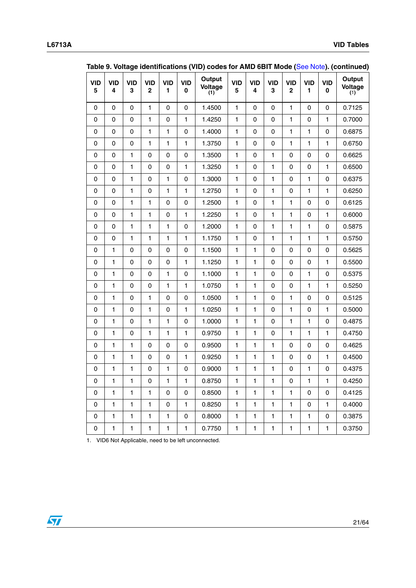|                 | Table 9. Voltage Identifications (VID) codes for AMD 6BTT Mode (See Note). (Continued) |                 |                           |                 |                 |                          |                 |                 |                 |                            |                            |                 |                          |
|-----------------|----------------------------------------------------------------------------------------|-----------------|---------------------------|-----------------|-----------------|--------------------------|-----------------|-----------------|-----------------|----------------------------|----------------------------|-----------------|--------------------------|
| <b>VID</b><br>5 | <b>VID</b><br>4                                                                        | <b>VID</b><br>3 | <b>VID</b><br>$\mathbf 2$ | <b>VID</b><br>1 | <b>VID</b><br>0 | Output<br>Voltage<br>(1) | <b>VID</b><br>5 | <b>VID</b><br>4 | <b>VID</b><br>3 | <b>VID</b><br>$\mathbf{2}$ | <b>VID</b><br>$\mathbf{1}$ | <b>VID</b><br>0 | Output<br>Voltage<br>(1) |
| 0               | $\mathsf 0$                                                                            | $\mathsf 0$     | $\mathbf{1}$              | 0               | $\mathsf 0$     | 1.4500                   | $\mathbf{1}$    | 0               | 0               | $\mathbf{1}$               | $\mathsf 0$                | $\mathsf 0$     | 0.7125                   |
| $\pmb{0}$       | $\pmb{0}$                                                                              | $\mathbf 0$     | $\mathbf{1}$              | 0               | $\mathbf{1}$    | 1.4250                   | $\mathbf{1}$    | 0               | $\mathsf 0$     | $\mathbf{1}$               | 0                          | $\mathbf{1}$    | 0.7000                   |
| $\mathsf 0$     | $\mathsf 0$                                                                            | $\pmb{0}$       | $\mathbf{1}$              | $\mathbf{1}$    | $\pmb{0}$       | 1.4000                   | $\mathbf{1}$    | $\pmb{0}$       | $\mathsf 0$     | $\mathbf{1}$               | $\mathbf{1}$               | $\pmb{0}$       | 0.6875                   |
| 0               | 0                                                                                      | $\pmb{0}$       | $\mathbf{1}$              | 1               | $\mathbf{1}$    | 1.3750                   | 1               | 0               | $\mathsf 0$     | $\mathbf{1}$               | $\mathbf{1}$               | $\mathbf{1}$    | 0.6750                   |
| 0               | 0                                                                                      | 1               | $\mathbf 0$               | 0               | 0               | 1.3500                   | $\mathbf{1}$    | 0               | $\mathbf{1}$    | 0                          | $\pmb{0}$                  | $\pmb{0}$       | 0.6625                   |
| $\mathbf 0$     | $\mathsf 0$                                                                            | $\mathbf{1}$    | $\mathbf 0$               | 0               | $\mathbf{1}$    | 1.3250                   | $\mathbf{1}$    | $\mathbf 0$     | $\mathbf{1}$    | 0                          | $\mathbf 0$                | $\mathbf{1}$    | 0.6500                   |
| 0               | $\mathsf 0$                                                                            | $\mathbf{1}$    | $\pmb{0}$                 | $\mathbf{1}$    | 0               | 1.3000                   | $\mathbf{1}$    | 0               | $\mathbf{1}$    | 0                          | $\mathbf{1}$               | $\pmb{0}$       | 0.6375                   |
| $\pmb{0}$       | $\mathsf 0$                                                                            | $\mathbf{1}$    | $\pmb{0}$                 | $\mathbf{1}$    | $\mathbf{1}$    | 1.2750                   | $\mathbf{1}$    | 0               | $\mathbf{1}$    | 0                          | $\mathbf{1}$               | $\mathbf{1}$    | 0.6250                   |
| 0               | $\mathsf 0$                                                                            | $\mathbf{1}$    | $\mathbf{1}$              | $\pmb{0}$       | $\pmb{0}$       | 1.2500                   | $\mathbf{1}$    | $\pmb{0}$       | $\mathbf{1}$    | $\mathbf{1}$               | $\pmb{0}$                  | $\pmb{0}$       | 0.6125                   |
| 0               | $\mathsf 0$                                                                            | $\mathbf{1}$    | $\mathbf{1}$              | 0               | $\mathbf{1}$    | 1.2250                   | 1               | 0               | $\mathbf{1}$    | $\mathbf{1}$               | 0                          | $\mathbf{1}$    | 0.6000                   |
| 0               | 0                                                                                      | 1               | $\mathbf{1}$              | 1               | 0               | 1.2000                   | 1               | 0               | $\mathbf{1}$    | 1                          | $\mathbf{1}$               | 0               | 0.5875                   |
| $\mathbf 0$     | $\mathsf 0$                                                                            | $\mathbf{1}$    | $\mathbf{1}$              | 1               | $\mathbf{1}$    | 1.1750                   | $\mathbf{1}$    | 0               | $\mathbf{1}$    | $\mathbf{1}$               | $\mathbf{1}$               | $\mathbf{1}$    | 0.5750                   |
| $\mathsf 0$     | $\mathbf{1}$                                                                           | $\pmb{0}$       | $\pmb{0}$                 | $\pmb{0}$       | 0               | 1.1500                   | $\mathbf{1}$    | $\mathbf{1}$    | 0               | 0                          | 0                          | $\mathsf 0$     | 0.5625                   |
| 0               | $\mathbf{1}$                                                                           | 0               | $\pmb{0}$                 | 0               | $\mathbf{1}$    | 1.1250                   | $\mathbf{1}$    | $\mathbf{1}$    | $\mathsf 0$     | 0                          | $\pmb{0}$                  | $\mathbf{1}$    | 0.5500                   |
| 0               | $\mathbf{1}$                                                                           | $\pmb{0}$       | $\pmb{0}$                 | $\mathbf{1}$    | 0               | 1.1000                   | $\mathbf{1}$    | $\mathbf{1}$    | $\mathsf 0$     | 0                          | $\mathbf{1}$               | $\mathsf 0$     | 0.5375                   |
| 0               | $\mathbf{1}$                                                                           | $\pmb{0}$       | $\pmb{0}$                 | 1               | $\mathbf{1}$    | 1.0750                   | 1               | $\mathbf{1}$    | 0               | 0                          | $\mathbf{1}$               | $\mathbf{1}$    | 0.5250                   |
| 0               | $\mathbf{1}$                                                                           | 0               | $\mathbf{1}$              | 0               | 0               | 1.0500                   | 1               | $\mathbf{1}$    | 0               | $\mathbf{1}$               | 0                          | 0               | 0.5125                   |
| $\mathbf 0$     | $\mathbf{1}$                                                                           | $\pmb{0}$       | $\mathbf{1}$              | $\pmb{0}$       | $\mathbf{1}$    | 1.0250                   | 1               | $\mathbf{1}$    | 0               | $\mathbf{1}$               | $\pmb{0}$                  | $\mathbf{1}$    | 0.5000                   |
| 0               | $\mathbf{1}$                                                                           | $\pmb{0}$       | $\mathbf{1}$              | $\mathbf{1}$    | 0               | 1.0000                   | $\mathbf{1}$    | $\mathbf{1}$    | 0               | $\mathbf{1}$               | $\mathbf{1}$               | $\pmb{0}$       | 0.4875                   |
| $\mathbf 0$     | $\mathbf{1}$                                                                           | 0               | $\mathbf{1}$              | $\mathbf{1}$    | $\mathbf{1}$    | 0.9750                   | $\mathbf{1}$    | $\mathbf{1}$    | 0               | $\mathbf{1}$               | $\mathbf{1}$               | $\mathbf{1}$    | 0.4750                   |
| 0               | $\mathbf{1}$                                                                           | $\mathbf{1}$    | $\pmb{0}$                 | $\pmb{0}$       | $\pmb{0}$       | 0.9500                   | $\mathbf{1}$    | $\mathbf{1}$    | $\mathbf{1}$    | 0                          | $\pmb{0}$                  | $\pmb{0}$       | 0.4625                   |
| 0               | $\mathbf{1}$                                                                           | $\mathbf{1}$    | $\pmb{0}$                 | 0               | $\mathbf{1}$    | 0.9250                   | 1               | $\mathbf{1}$    | $\mathbf{1}$    | 0                          | 0                          | $\mathbf{1}$    | 0.4500                   |
| 0               | 1                                                                                      | 1               | $\pmb{0}$                 | 1               | 0               | 0.9000                   | 1               | $\mathbf{1}$    | $\mathbf{1}$    | 0                          | 1                          | 0               | 0.4375                   |
| 0               | 1                                                                                      | 1               | $\pmb{0}$                 | $\mathbf{1}$    | 1               | 0.8750                   | 1               | 1               | $\mathbf{1}$    | $\mathbf 0$                | 1                          | $\blacksquare$  | 0.4250                   |
| 0               | $\mathbf{1}$                                                                           | $\mathbf{1}$    | $\mathbf{1}$              | 0               | 0               | 0.8500                   | $\mathbf{1}$    | $\mathbf{1}$    | $\mathbf{1}$    | 1                          | 0                          | 0               | 0.4125                   |
| 0               | $\mathbf{1}$                                                                           | $\mathbf{1}$    | $\mathbf{1}$              | 0               | $\mathbf{1}$    | 0.8250                   | 1               | $\mathbf{1}$    | $\mathbf{1}$    | $\mathbf{1}$               | 0                          | $\mathbf{1}$    | 0.4000                   |
| 0               | $\mathbf{1}$                                                                           | $\mathbf{1}$    | $\mathbf{1}$              | 1               | 0               | 0.8000                   | 1               | $\mathbf{1}$    | $\mathbf{1}$    | 1                          | 1                          | 0               | 0.3875                   |
| 0               | 1                                                                                      | 1               | 1                         | 1               | 1               | 0.7750                   | 1               | $\mathbf{1}$    | 1               | 1                          | $\mathbf{1}$               | $\mathbf{1}$    | 0.3750                   |

**Table 9. Voltage identifications (VID) codes for AMD 6BIT Mode (**See Note**). (continued)**

1. VID6 Not Applicable, need to be left unconnected.

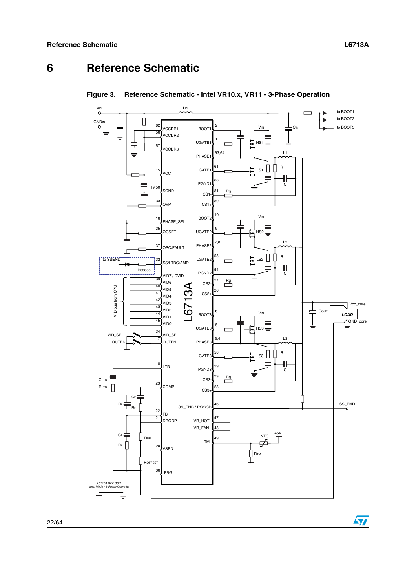# <span id="page-21-0"></span>**6 Reference Schematic**



**Figure 3. Reference Schematic - Intel VR10.x, VR11 - 3-Phase Operation**

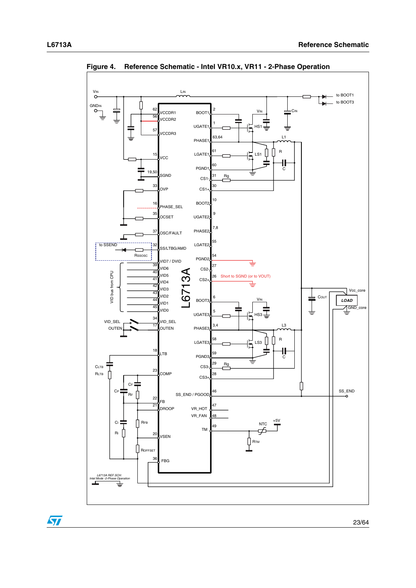

**Figure 4. Reference Schematic - Intel VR10.x, VR11 - 2-Phase Operation**

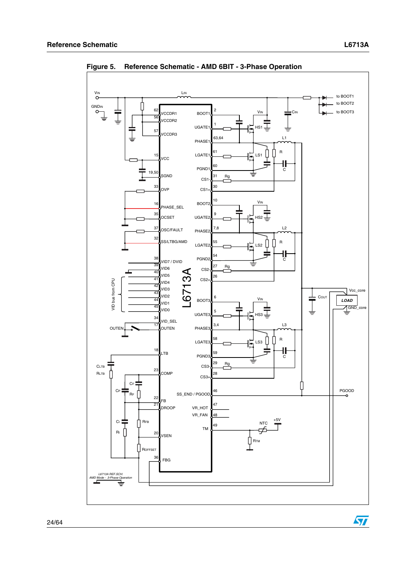

**Figure 5. Reference Schematic - AMD 6BIT - 3-Phase Operation**

 $\sqrt{2}$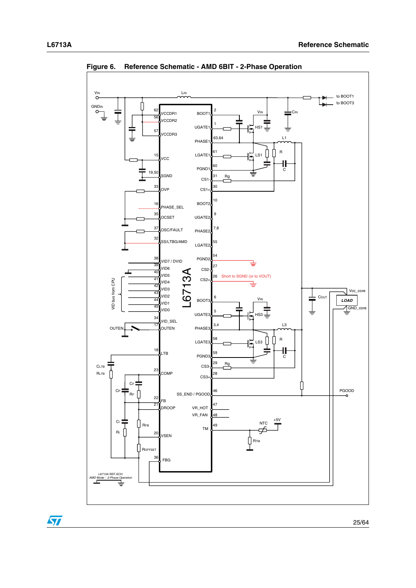

**Figure 6. Reference Schematic - AMD 6BIT - 2-Phase Operation**

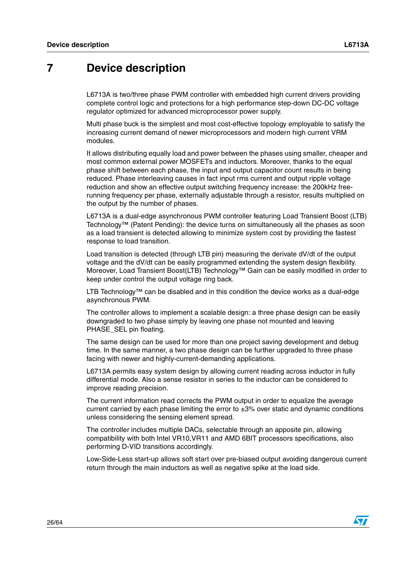# <span id="page-25-0"></span>**7 Device description**

L6713A is two/three phase PWM controller with embedded high current drivers providing complete control logic and protections for a high performance step-down DC-DC voltage regulator optimized for advanced microprocessor power supply.

Multi phase buck is the simplest and most cost-effective topology employable to satisfy the increasing current demand of newer microprocessors and modern high current VRM modules.

It allows distributing equally load and power between the phases using smaller, cheaper and most common external power MOSFETs and inductors. Moreover, thanks to the equal phase shift between each phase, the input and output capacitor count results in being reduced. Phase interleaving causes in fact input rms current and output ripple voltage reduction and show an effective output switching frequency increase: the 200kHz freerunning frequency per phase, externally adjustable through a resistor, results multiplied on the output by the number of phases.

L6713A is a dual-edge asynchronous PWM controller featuring Load Transient Boost (LTB) Technology™ (Patent Pending): the device turns on simultaneously all the phases as soon as a load transient is detected allowing to minimize system cost by providing the fastest response to load transition.

Load transition is detected (through LTB pin) measuring the derivate dV/dt of the output voltage and the dV/dt can be easily programmed extending the system design flexibility. Moreover, Load Transient Boost(LTB) Technology™ Gain can be easily modified in order to keep under control the output voltage ring back.

LTB Technology™ can be disabled and in this condition the device works as a dual-edge asynchronous PWM.

The controller allows to implement a scalable design: a three phase design can be easily downgraded to two phase simply by leaving one phase not mounted and leaving PHASE\_SEL pin floating.

The same design can be used for more than one project saving development and debug time. In the same manner, a two phase design can be further upgraded to three phase facing with newer and highly-current-demanding applications.

L6713A permits easy system design by allowing current reading across inductor in fully differential mode. Also a sense resistor in series to the inductor can be considered to improve reading precision.

The current information read corrects the PWM output in order to equalize the average current carried by each phase limiting the error to  $\pm 3\%$  over static and dynamic conditions unless considering the sensing element spread.

The controller includes multiple DACs, selectable through an apposite pin, allowing compatibility with both Intel VR10,VR11 and AMD 6BIT processors specifications, also performing D-VID transitions accordingly.

Low-Side-Less start-up allows soft start over pre-biased output avoiding dangerous current return through the main inductors as well as negative spike at the load side.

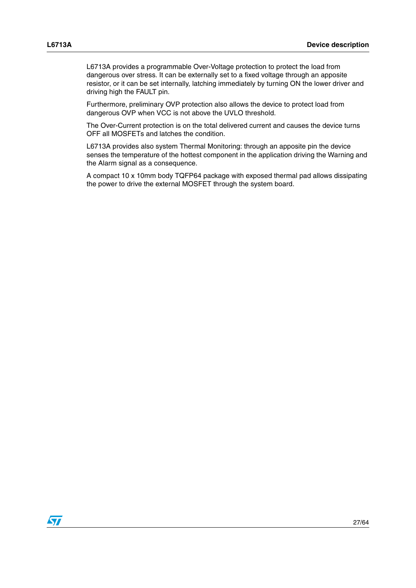L6713A provides a programmable Over-Voltage protection to protect the load from dangerous over stress. It can be externally set to a fixed voltage through an apposite resistor, or it can be set internally, latching immediately by turning ON the lower driver and driving high the FAULT pin.

Furthermore, preliminary OVP protection also allows the device to protect load from dangerous OVP when VCC is not above the UVLO threshold.

The Over-Current protection is on the total delivered current and causes the device turns OFF all MOSFETs and latches the condition.

L6713A provides also system Thermal Monitoring: through an apposite pin the device senses the temperature of the hottest component in the application driving the Warning and the Alarm signal as a consequence.

A compact 10 x 10mm body TQFP64 package with exposed thermal pad allows dissipating the power to drive the external MOSFET through the system board.

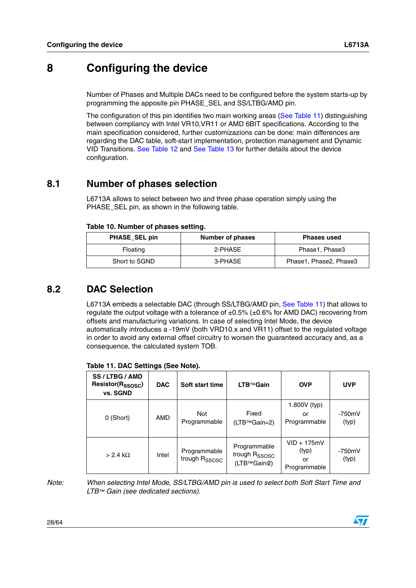# <span id="page-27-0"></span>**8 Configuring the device**

Number of Phases and Multiple DACs need to be configured before the system starts-up by programming the apposite pin PHASE\_SEL and SS/LTBG/AMD pin.

The configuration of this pin identifies two main working areas ([See Table 11\)](#page-27-4) distinguishing between compliancy with Intel VR10,VR11 or AMD 6BIT specifications. According to the main specification considered, further customizazions can be done: main differences are regarding the DAC table, soft-start implementation, protection management and Dynamic VID Transitions. [See Table 12](#page-28-0) and [See Table 13](#page-28-1) for further details about the device configuration.

# <span id="page-27-1"></span>**8.1 Number of phases selection**

L6713A allows to select between two and three phase operation simply using the PHASE\_SEL pin, as shown in the following table.

<span id="page-27-3"></span>

| PHASE SEL pin | Number of phases | <b>Phases used</b>     |
|---------------|------------------|------------------------|
| Floating      | 2-PHASE          | Phase1, Phase3         |
| Short to SGND | 3-PHASE          | Phase1, Phase2, Phase3 |

# <span id="page-27-2"></span>**8.2 DAC Selection**

L6713A embeds a selectable DAC (through SS/LTBG/AMD pin, [See Table 11\)](#page-27-4) that allows to regulate the output voltage with a tolerance of  $\pm 0.5\%$  ( $\pm 0.6\%$  for AMD DAC) recovering from offsets and manufacturing variations. In case of selecting Intel Mode, the device automatically introduces a -19mV (both VRD10.x and VR11) offset to the regulated voltage in order to avoid any external offset circuitry to worsen the guaranteed accuracy and, as a consequence, the calculated system TOB.

| SS / LTBG / AMD<br>Resistor(R <sub>SSOSC</sub> )<br>vs. SGND | <b>DAC</b> | Soft start time                           | LTB™Gain                                                 | <b>OVP</b>                                   | <b>UVP</b>        |
|--------------------------------------------------------------|------------|-------------------------------------------|----------------------------------------------------------|----------------------------------------------|-------------------|
| 0 (Short)                                                    | AMD        | Not<br>Programmable                       | Fixed<br>(LTB™Gain=2)                                    | 1.800V (typ)<br>or<br>Programmable           | $-750mV$<br>(typ) |
| $> 2.4$ k $\Omega$                                           | Intel      | Programmable<br>trough R <sub>SSOSC</sub> | Programmable<br>trough R <sub>SSOSC</sub><br>(LTB™Gain2) | $VID + 175mV$<br>(typ)<br>or<br>Programmable | $-750mV$<br>(typ) |

#### <span id="page-27-4"></span>**Table 11. DAC Settings (See Note).**

*Note: When selecting Intel Mode, SS/LTBG/AMD pin is used to select both Soft Start Time and LTB™ Gain (see dedicated sections).* 

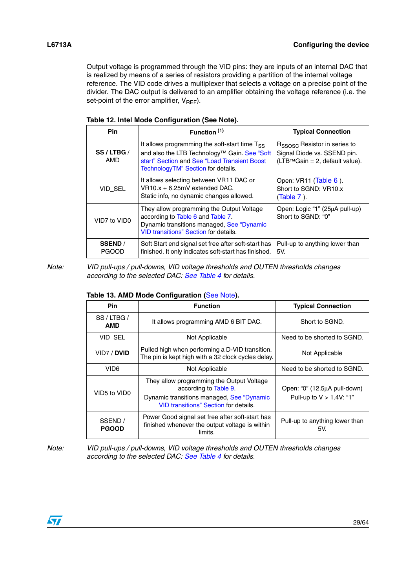Output voltage is programmed through the VID pins: they are inputs of an internal DAC that is realized by means of a series of resistors providing a partition of the internal voltage reference. The VID code drives a multiplexer that selects a voltage on a precise point of the divider. The DAC output is delivered to an amplifier obtaining the voltage reference (i.e. the set-point of the error amplifier,  $V_{REF}$ ).

| <b>Pin</b>                     | Function $(1)$                                                                                                                                                                      | <b>Typical Connection</b>                                                                                    |
|--------------------------------|-------------------------------------------------------------------------------------------------------------------------------------------------------------------------------------|--------------------------------------------------------------------------------------------------------------|
| SS/LTBG/<br>AMD                | It allows programming the soft-start time Tss<br>and also the LTB Technology™ Gain. See "Soft<br>start" Section and See "Load Transient Boost<br>TechnologyTM" Section for details. | R <sub>SSOSC</sub> Resistor in series to<br>Signal Diode vs. SSEND pin.<br>$(LTBTMGain = 2, default value).$ |
| VID SEL                        | It allows selecting between VR11 DAC or<br>VR10.x + 6.25mV extended DAC.<br>Static info, no dynamic changes allowed.                                                                | Open: VR11 (Table 6).<br>Short to SGND: VR10.x<br>$(Table 7)$ .                                              |
| VID7 to VID0                   | They allow programming the Output Voltage<br>according to Table 6 and Table 7.<br>Dynamic transitions managed, See "Dynamic<br><b>VID transitions" Section for details.</b>         | Open: Logic "1" (25µA pull-up)<br>Short to SGND: "0"                                                         |
| <b>SSEND</b> /<br><b>PGOOD</b> | Soft Start end signal set free after soft-start has<br>finished. It only indicates soft-start has finished.                                                                         | Pull-up to anything lower than<br>5V.                                                                        |

<span id="page-28-0"></span>

| Table 12. Intel Mode Configuration (See Note). |  |
|------------------------------------------------|--|
|------------------------------------------------|--|

*Note: VID pull-ups / pull-downs, VID voltage thresholds and OUTEN thresholds changes according to the selected DAC: See Table 4 for details.*

<span id="page-28-1"></span>

| Table 13. AMD Mode Configuration (See Note). |  |  |
|----------------------------------------------|--|--|
|----------------------------------------------|--|--|

| <b>Pin</b>              | <b>Function</b>                                                                                                                                                 | <b>Typical Connection</b>                                   |
|-------------------------|-----------------------------------------------------------------------------------------------------------------------------------------------------------------|-------------------------------------------------------------|
| SS/LTBG/<br>AMD         | It allows programming AMD 6 BIT DAC.                                                                                                                            | Short to SGND.                                              |
| VID_SEL                 | Not Applicable                                                                                                                                                  | Need to be shorted to SGND.                                 |
| VID7 / <b>DVID</b>      | Pulled high when performing a D-VID transition.<br>The pin is kept high with a 32 clock cycles delay.                                                           | Not Applicable                                              |
| VID6                    | Not Applicable                                                                                                                                                  | Need to be shorted to SGND.                                 |
| VID5 to VID0            | They allow programming the Output Voltage<br>according to Table 9.<br>Dynamic transitions managed, See "Dynamic<br><b>VID transitions" Section for details.</b> | Open: "0" (12.5µA pull-down)<br>Pull-up to $V > 1.4V$ : "1" |
| SSEND /<br><b>PGOOD</b> | Power Good signal set free after soft-start has<br>finished whenever the output voltage is within<br>limits.                                                    | Pull-up to anything lower than<br>5V.                       |

*Note: VID pull-ups / pull-downs, VID voltage thresholds and OUTEN thresholds changes according to the selected DAC: See Table 4 for details.*

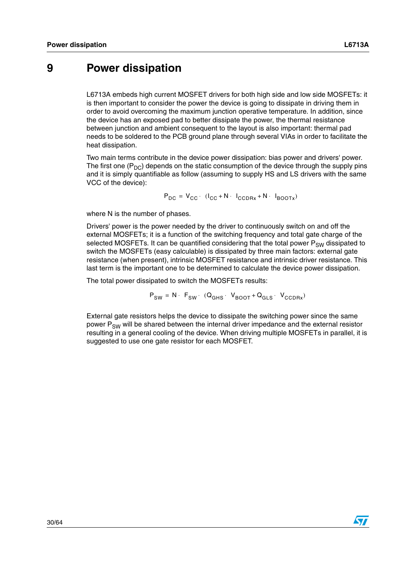# <span id="page-29-0"></span>**9 Power dissipation**

L6713A embeds high current MOSFET drivers for both high side and low side MOSFETs: it is then important to consider the power the device is going to dissipate in driving them in order to avoid overcoming the maximum junction operative temperature. In addition, since the device has an exposed pad to better dissipate the power, the thermal resistance between junction and ambient consequent to the layout is also important: thermal pad needs to be soldered to the PCB ground plane through several VIAs in order to facilitate the heat dissipation.

Two main terms contribute in the device power dissipation: bias power and drivers' power. The first one  $(P_{DC})$  depends on the static consumption of the device through the supply pins and it is simply quantifiable as follow (assuming to supply HS and LS drivers with the same VCC of the device):

$$
P_{DC} = V_{CC} \cdot (I_{CC} + N \cdot I_{CCDRx} + N \cdot I_{BOOTx})
$$

where N is the number of phases.

Drivers' power is the power needed by the driver to continuously switch on and off the external MOSFETs; it is a function of the switching frequency and total gate charge of the selected MOSFETs. It can be quantified considering that the total power  $P_{SW}$  dissipated to switch the MOSFETs (easy calculable) is dissipated by three main factors: external gate resistance (when present), intrinsic MOSFET resistance and intrinsic driver resistance. This last term is the important one to be determined to calculate the device power dissipation.

The total power dissipated to switch the MOSFETs results:

$$
P_{SW} = N \cdot F_{SW} \cdot (Q_{GHS} \cdot V_{BOOT} + Q_{GLS} \cdot V_{CCDRx})
$$

External gate resistors helps the device to dissipate the switching power since the same power  $P_{SW}$  will be shared between the internal driver impedance and the external resistor resulting in a general cooling of the device. When driving multiple MOSFETs in parallel, it is suggested to use one gate resistor for each MOSFET.

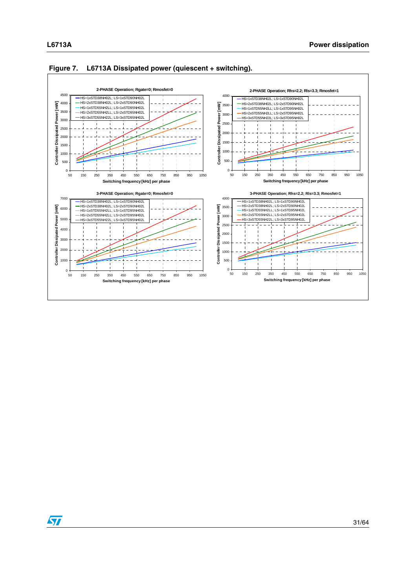



#### **Figure 7. L6713A Dissipated power (quiescent + switching).**

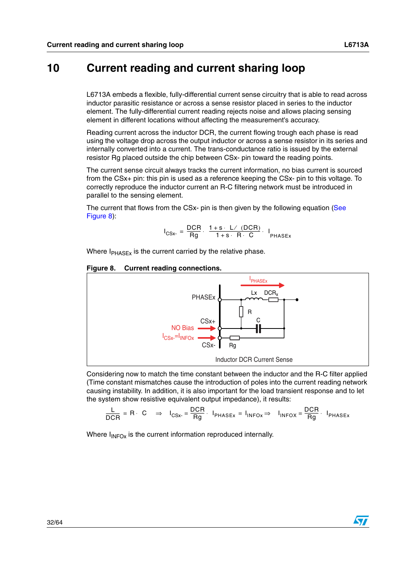# <span id="page-31-0"></span>**10 Current reading and current sharing loop**

L6713A embeds a flexible, fully-differential current sense circuitry that is able to read across inductor parasitic resistance or across a sense resistor placed in series to the inductor element. The fully-differential current reading rejects noise and allows placing sensing element in different locations without affecting the measurement's accuracy.

Reading current across the inductor DCR, the current flowing trough each phase is read using the voltage drop across the output inductor or across a sense resistor in its series and internally converted into a current. The trans-conductance ratio is issued by the external resistor Rg placed outside the chip between CSx- pin toward the reading points.

The current sense circuit always tracks the current information, no bias current is sourced from the CSx+ pin: this pin is used as a reference keeping the CSx- pin to this voltage. To correctly reproduce the inductor current an R-C filtering network must be introduced in parallel to the sensing element.

The current that flows from the CSx- pin is then given by the following equation [\(See](#page-31-1)  [Figure 8\)](#page-31-1):

$$
I_{CSx} = \frac{DCR}{Rg} \cdot \frac{1+s \cdot L / (DCR)}{1+s \cdot R \cdot C} \cdot I_{PHASEx}
$$

Where  $I_{PHASEx}$  is the current carried by the relative phase.

#### <span id="page-31-1"></span>**Figure 8. Current reading connections.**



Considering now to match the time constant between the inductor and the R-C filter applied (Time constant mismatches cause the introduction of poles into the current reading network causing instability. In addition, it is also important for the load transient response and to let the system show resistive equivalent output impedance), it results:

$$
\frac{L}{DCR} = R \cdot C \Rightarrow I_{CSx} = \frac{DCR}{Rg} \cdot I_{PHASEx} = I_{INFOx} \Rightarrow I_{INFOX} = \frac{DCR}{Rg} \cdot I_{PHASEx}
$$

Where  $I_{INFOX}$  is the current information reproduced internally.

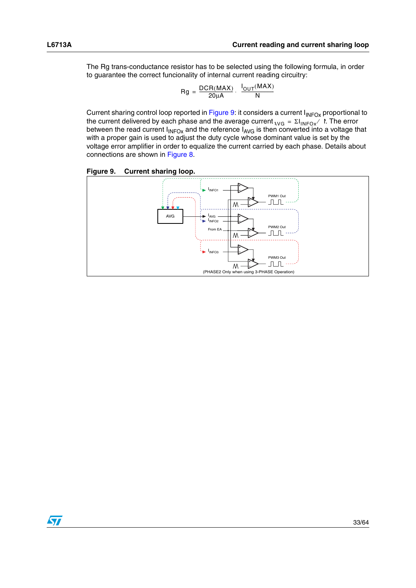The Rg trans-conductance resistor has to be selected using the following formula, in order to guarantee the correct funcionality of internal current reading circuitry:

$$
Rg = \frac{DCR(MAX)}{20\mu A} \cdot \frac{I_{OUT}(MAX)}{N}
$$

Current sharing control loop reported in [Figure 9](#page-32-0): it considers a current  $I_{INFOX}$  proportional to the current delivered by each phase and the average current  $_{\text{AVG}}$  =  $\Sigma I_{\text{INFOx}}/$  f. The error between the read current  $I_{INFOX}$  and the reference  $I_{AVG}$  is then converted into a voltage that with a proper gain is used to adjust the duty cycle whose dominant value is set by the voltage error amplifier in order to equalize the current carried by each phase. Details about connections are shown in [Figure 8.](#page-31-1)

<span id="page-32-0"></span>

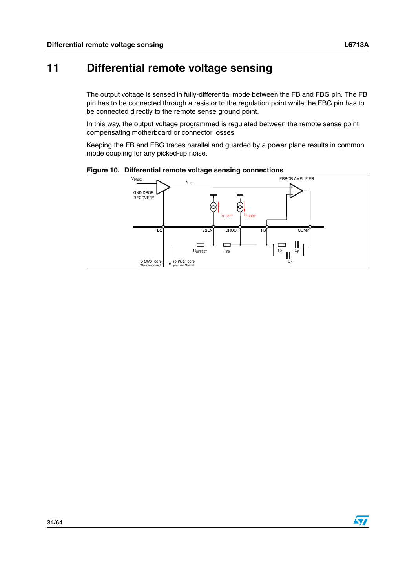# <span id="page-33-0"></span>**11 Differential remote voltage sensing**

The output voltage is sensed in fully-differential mode between the FB and FBG pin. The FB pin has to be connected through a resistor to the regulation point while the FBG pin has to be connected directly to the remote sense ground point.

In this way, the output voltage programmed is regulated between the remote sense point compensating motherboard or connector losses.

Keeping the FB and FBG traces parallel and guarded by a power plane results in common mode coupling for any picked-up noise.



#### **Figure 10. Differential remote voltage sensing connections**

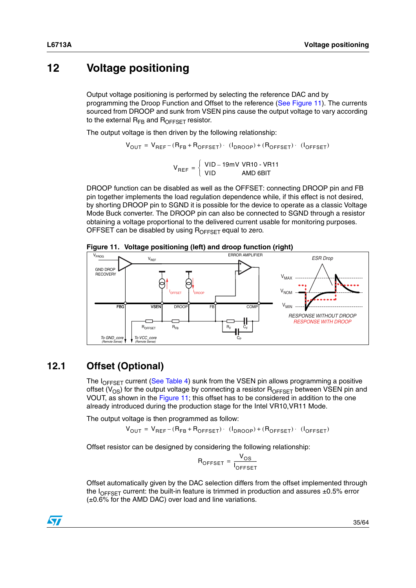# <span id="page-34-0"></span>**12 Voltage positioning**

Output voltage positioning is performed by selecting the reference DAC and by programming the Droop Function and Offset to the reference [\(See Figure 11](#page-34-2)). The currents sourced from DROOP and sunk from VSEN pins cause the output voltage to vary according to the external  $R_{FB}$  and  $R_{OFFSET}$  resistor.

The output voltage is then driven by the following relationship:

$$
V_{OUT} = V_{REF} - (R_{FB} + R_{OFFSET}) \cdot (I_{DROOP}) + (R_{OFFSET}) \cdot (I_{OFFSET})
$$

$$
V_{REF} = \begin{cases} \text{VID} - 19 \text{mV V} \text{H10} - \text{V} \text{H11} \\ \text{VID} \text{AMD BBIT} \end{cases}
$$

DROOP function can be disabled as well as the OFFSET: connecting DROOP pin and FB pin together implements the load regulation dependence while, if this effect is not desired, by shorting DROOP pin to SGND it is possible for the device to operate as a classic Voltage Mode Buck converter. The DROOP pin can also be connected to SGND through a resistor obtaining a voltage proportional to the delivered current usable for monitoring purposes. OFFSET can be disabled by using  $R_{\text{OFFSET}}$  equal to zero.

<span id="page-34-2"></span>



# <span id="page-34-1"></span>**12.1 Offset (Optional)**

The  $I_{\text{OFFSET}}$  current (See Table 4) sunk from the VSEN pin allows programming a positive offset ( $V_{OS}$ ) for the output voltage by connecting a resistor  $R_{OFFSET}$  between VSEN pin and VOUT, as shown in the [Figure 11;](#page-34-2) this offset has to be considered in addition to the one already introduced during the production stage for the Intel VR10,VR11 Mode.

The output voltage is then programmed as follow:

 $\rm V_{\rm OUT}$  =  $\rm V_{\rm REF-(R_{FB}+R_{\rm OFFSET})-(I_{\rm DROOP})+(R_{\rm OFFSET})-(I_{\rm OFFSET})$ 

Offset resistor can be designed by considering the following relationship:

$$
R_{\text{OFFSET}} = \frac{V_{\text{OS}}}{I_{\text{OFFSET}}}
$$

Offset automatically given by the DAC selection differs from the offset implemented through the  $I<sub>OFFSET</sub>$  current: the built-in feature is trimmed in production and assures  $\pm 0.5\%$  error (±0.6% for the AMD DAC) over load and line variations.

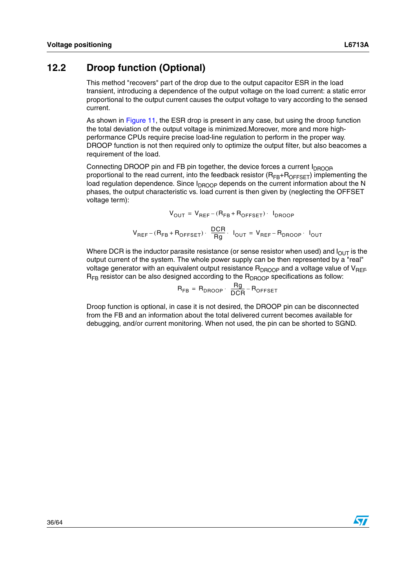### <span id="page-35-0"></span>**12.2 Droop function (Optional)**

This method "recovers" part of the drop due to the output capacitor ESR in the load transient, introducing a dependence of the output voltage on the load current: a static error proportional to the output current causes the output voltage to vary according to the sensed current.

As shown in [Figure 11,](#page-34-2) the ESR drop is present in any case, but using the droop function the total deviation of the output voltage is minimized.Moreover, more and more highperformance CPUs require precise load-line regulation to perform in the proper way. DROOP function is not then required only to optimize the output filter, but also beacomes a requirement of the load.

Connecting DROOP pin and FB pin together, the device forces a current  $I_{DROOB}$ proportional to the read current, into the feedback resistor  $(R_{FR}+R_{OFFSFT})$  implementing the load regulation dependence. Since  $I_{DROOP}$  depends on the current information about the N phases, the output characteristic vs. load current is then given by (neglecting the OFFSET voltage term):

$$
V_{OUT} = V_{REF} - (R_{FB} + R_{OFFSET}) \cdot I_{DROOP}
$$

$$
V_{REF} - (R_{FB} + R_{OFFSET}) \cdot \frac{DCR}{Rg} \cdot I_{OUT} = V_{REF} - R_{DROOP} \cdot I_{OUT}
$$

Where DCR is the inductor parasite resistance (or sense resistor when used) and  $I<sub>OUT</sub>$  is the output current of the system. The whole power supply can be then represented by a "real" voltage generator with an equivalent output resistance  $R_{DROOP}$  and a voltage value of  $V_{REF}$  $R_{FB}$  resistor can be also designed according to the  $R_{DROOP}$  specifications as follow:

$$
R_{FB} = R_{DROOP} \cdot \frac{Rg}{DCR} - R_{OFFSET}
$$

Droop function is optional, in case it is not desired, the DROOP pin can be disconnected from the FB and an information about the total delivered current becomes available for debugging, and/or current monitoring. When not used, the pin can be shorted to SGND.

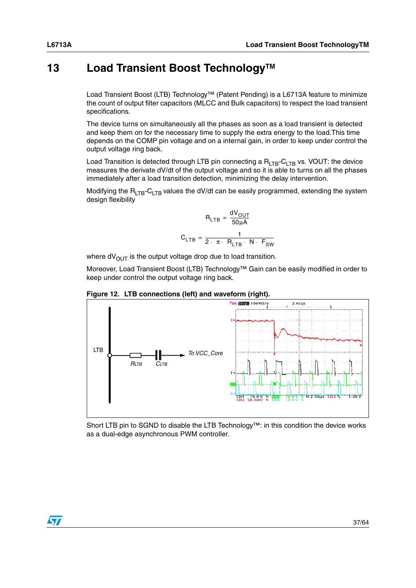# <span id="page-36-0"></span>**13** Load Transient Boost Technology<sup>™</sup>

Load Transient Boost (LTB) Technology™ (Patent Pending) is a L6713A feature to minimize the count of output filter capacitors (MLCC and Bulk capacitors) to respect the load transient specifications.

The device turns on simultaneously all the phases as soon as a load transient is detected and keep them on for the necessary time to supply the extra energy to the load.This time depends on the COMP pin voltage and on a internal gain, in order to keep under control the output voltage ring back.

Load Transition is detected through LTB pin connecting a  $R_{LTB}$ -C<sub>LTB</sub> vs. VOUT: the device measures the derivate dV/dt of the output voltage and so it is able to turns on all the phases immediately after a load transition detection, minimizing the delay intervention.

Modifying the  $R_{LTB}$ -C<sub>LTB</sub> values the dV/dt can be easily programmed, extending the system design flexibility

$$
R_{LTB} = \frac{dV_{OUT}}{50 \mu A}
$$

$$
C_{LTB} = \frac{1}{2 \cdot \pi \cdot R_{LTB} \cdot N \cdot F_{SW}}
$$

where  $dV_{\text{OUT}}$  is the output voltage drop due to load transition.

Moreover, Load Transient Boost (LTB) Technology™ Gain can be easily modified in order to keep under control the output voltage ring back.





Short LTB pin to SGND to disable the LTB Technology™: in this condition the device works as a dual-edge asynchronous PWM controller.

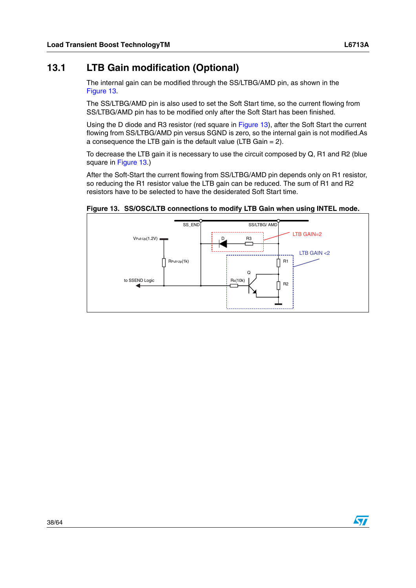<span id="page-37-0"></span>The internal gain can be modified through the SS/LTBG/AMD pin, as shown in the [Figure 13](#page-37-1).

The SS/LTBG/AMD pin is also used to set the Soft Start time, so the current flowing from SS/LTBG/AMD pin has to be modified only after the Soft Start has been finished.

Using the D diode and R3 resistor (red square in [Figure 13](#page-37-1)), after the Soft Start the current flowing from SS/LTBG/AMD pin versus SGND is zero, so the internal gain is not modified.As a consequence the LTB gain is the default value (LTB Gain = 2).

To decrease the LTB gain it is necessary to use the circuit composed by Q, R1 and R2 (blue square in [Figure 13.](#page-37-1))

After the Soft-Start the current flowing from SS/LTBG/AMD pin depends only on R1 resistor, so reducing the R1 resistor value the LTB gain can be reduced. The sum of R1 and R2 resistors have to be selected to have the desiderated Soft Start time.



#### <span id="page-37-1"></span>**Figure 13. SS/OSC/LTB connections to modify LTB Gain when using INTEL mode.**

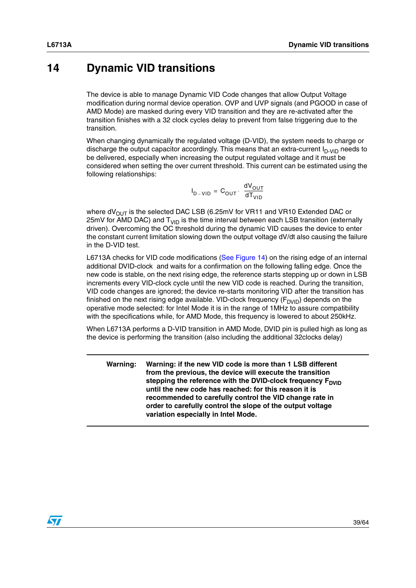# <span id="page-38-0"></span>**14 Dynamic VID transitions**

The device is able to manage Dynamic VID Code changes that allow Output Voltage modification during normal device operation. OVP and UVP signals (and PGOOD in case of AMD Mode) are masked during every VID transition and they are re-activated after the transition finishes with a 32 clock cycles delay to prevent from false triggering due to the transition.

When changing dynamically the regulated voltage (D-VID), the system needs to charge or discharge the output capacitor accordingly. This means that an extra-current  $I_{D-VD}$  needs to be delivered, especially when increasing the output regulated voltage and it must be considered when setting the over current threshold. This current can be estimated using the following relationships:

$$
I_{D-VID} = C_{OUT} \cdot \frac{dV_{OUT}}{dT_{VID}}
$$

where  $dV_{OUT}$  is the selected DAC LSB (6.25mV for VR11 and VR10 Extended DAC or 25mV for AMD DAC) and  $T_{\text{VID}}$  is the time interval between each LSB transition (externally driven). Overcoming the OC threshold during the dynamic VID causes the device to enter the constant current limitation slowing down the output voltage dV/dt also causing the failure in the D-VID test.

L6713A checks for VID code modifications ([See Figure 14](#page-39-0)) on the rising edge of an internal additional DVID-clock and waits for a confirmation on the following falling edge. Once the new code is stable, on the next rising edge, the reference starts stepping up or down in LSB increments every VID-clock cycle until the new VID code is reached. During the transition, VID code changes are ignored; the device re-starts monitoring VID after the transition has finished on the next rising edge available. VID-clock frequency  $(F_{DVID})$  depends on the operative mode selected: for Intel Mode it is in the range of 1MHz to assure compatibility with the specifications while, for AMD Mode, this frequency is lowered to about 250kHz.

When L6713A performs a D-VID transition in AMD Mode, DVID pin is pulled high as long as the device is performing the transition (also including the additional 32clocks delay)

**Warning: Warning: if the new VID code is more than 1 LSB different from the previous, the device will execute the transition**  stepping the reference with the DVID-clock frequency F<sub>DVID</sub> **until the new code has reached: for this reason it is recommended to carefully control the VID change rate in order to carefully control the slope of the output voltage variation especially in Intel Mode.**

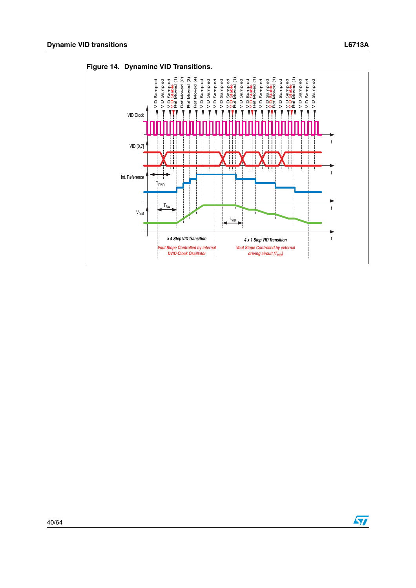

<span id="page-39-0"></span>**Figure 14. Dynaminc VID Transitions.**

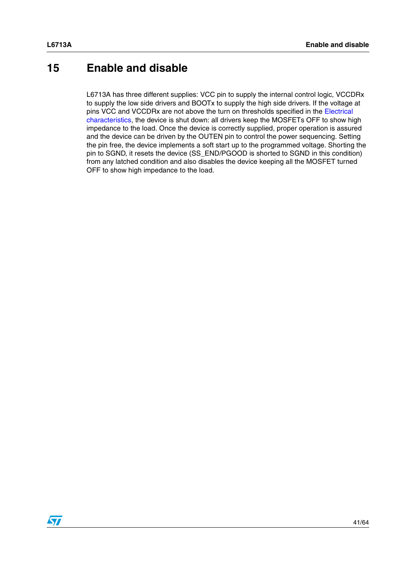# <span id="page-40-0"></span>**15 Enable and disable**

L6713A has three different supplies: VCC pin to supply the internal control logic, VCCDRx to supply the low side drivers and BOOTx to supply the high side drivers. If the voltage at pins VCC and VCCDRx are not above the turn on thresholds specified in the Electrical characteristics, the device is shut down: all drivers keep the MOSFETs OFF to show high impedance to the load. Once the device is correctly supplied, proper operation is assured and the device can be driven by the OUTEN pin to control the power sequencing. Setting the pin free, the device implements a soft start up to the programmed voltage. Shorting the pin to SGND, it resets the device (SS\_END/PGOOD is shorted to SGND in this condition) from any latched condition and also disables the device keeping all the MOSFET turned OFF to show high impedance to the load.

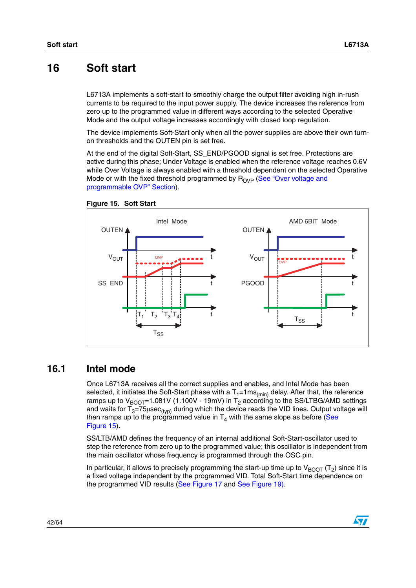# <span id="page-41-0"></span>**16 Soft start**

L6713A implements a soft-start to smoothly charge the output filter avoiding high in-rush currents to be required to the input power supply. The device increases the reference from zero up to the programmed value in different ways according to the selected Operative Mode and the output voltage increases accordingly with closed loop regulation.

The device implements Soft-Start only when all the power supplies are above their own turnon thresholds and the OUTEN pin is set free.

At the end of the digital Soft-Start, SS\_END/PGOOD signal is set free. Protections are active during this phase; Under Voltage is enabled when the reference voltage reaches 0.6V while Over Voltage is always enabled with a threshold dependent on the selected Operative Mode or with the fixed threshold programmed by  $R_{OVP}$  (See "Over voltage and [programmable OVP" Section\)](#page-47-0).



<span id="page-41-2"></span>

### <span id="page-41-1"></span>**16.1 Intel mode**

Once L6713A receives all the correct supplies and enables, and Intel Mode has been selected, it initiates the Soft-Start phase with a  $T_1=1\,\text{ms}_{(min)}$  delay. After that, the reference ramps up to  $V_{\text{BOOT}}$ =1.081V (1.100V - 19mV) in T<sub>2</sub> according to the SS/LTBG/AMD settings and waits for  $T_3=75\mu\text{sec}_{\text{(typ)}}$  during which the device reads the VID lines. Output voltage will then ramps up to the programmed value in  $T_4$  with the same slope as before (See [Figure 15](#page-41-2)).

SS/LTB/AMD defines the frequency of an internal additional Soft-Start-oscillator used to step the reference from zero up to the programmed value; this oscillator is independent from the main oscillator whose frequency is programmed through the OSC pin.

In particular, it allows to precisely programming the start-up time up to  $V_{\text{BOOT}}(T_2)$  since it is a fixed voltage independent by the programmed VID. Total Soft-Start time dependence on the programmed VID results ([See Figure 17](#page-43-1) and [See Figure 19\)](#page-44-1).

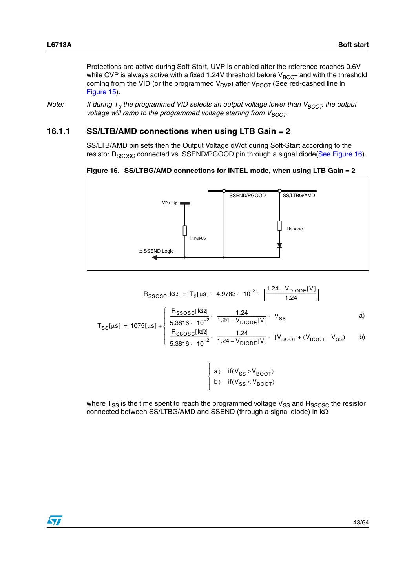Protections are active during Soft-Start, UVP is enabled after the reference reaches 0.6V while OVP is always active with a fixed 1.24V threshold before  $V_{\text{BOOT}}$  and with the threshold coming from the VID (or the programmed  $V_{OVP}$ ) after  $V_{BOOT}$  (See red-dashed line in [Figure 15](#page-41-2)).

*Note:* If during  $T_3$  the programmed VID selects an output voltage lower than  $V_{B O O T}$ , the output *voltage will ramp to the programmed voltage starting from V<sub>BOOT</sub>.* 

#### <span id="page-42-0"></span>**16.1.1 SS/LTB/AMD connections when using LTB Gain = 2**

SS/LTB/AMD pin sets then the Output Voltage dV/dt during Soft-Start according to the resistor R<sub>SSOSC</sub> connected vs. SSEND/PGOOD pin through a signal diode[\(See Figure 16](#page-42-1)).

<span id="page-42-1"></span>



$$
R_{SSOSC}[k\Omega] = T_{2}[\mu s] \cdot 4.9783 \cdot 10^{-2} \cdot \left[\frac{1.24 - V_{DIODE}[V]}{1.24}\right]
$$
\n
$$
T_{SS}[\mu s] = 1075[\mu s] + \begin{cases} \frac{R_{SSOSC}[k\Omega]}{5.3816 \cdot 10^{-2}} \cdot \frac{1.24}{1.24 - V_{DIODE}[V]} \cdot V_{SS} & a) \\ \frac{R_{SSOSC}[k\Omega]}{5.3816 \cdot 10^{-2}} \cdot \frac{1.24}{1.24 - V_{DIODE}[V]} \cdot [V_{BOOT} + (V_{BOOT} - V_{SS}) & b) \end{cases}
$$

a) if 
$$
(V_{SS} > V_{BOOT})
$$
  
b) if  $(V_{SS} < V_{BOOT})$ 

where  $T_{SS}$  is the time spent to reach the programmed voltage  $V_{SS}$  and  $R_{SSOSC}$  the resistor connected between SS/LTBG/AMD and SSEND (through a signal diode) in kΩ.

l  $\overline{a}$ ⎨  $\overline{\phantom{a}}$ ⎧

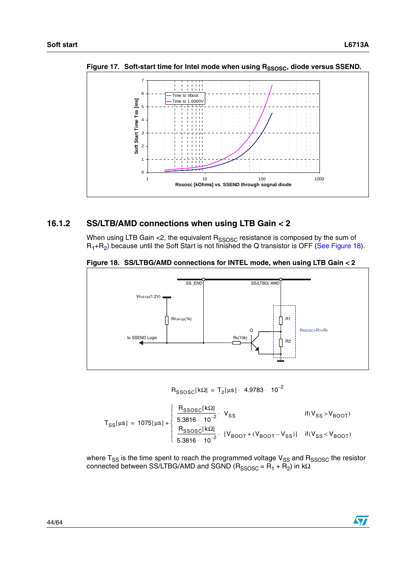

<span id="page-43-1"></span>Figure 17. Soft-start time for Intel mode when using R<sub>SSOSC</sub>, diode versus SSEND.

#### <span id="page-43-0"></span>**16.1.2 SS/LTB/AMD connections when using LTB Gain < 2**

When using LTB Gain <2, the equivalent  $R_{SSOSC}$  resistance is composed by the sum of  $R_1+R_2$ ) because until the Soft Start is not finished the Q transistor is OFF [\(See Figure 18](#page-43-2)).



<span id="page-43-2"></span>**Figure 18. SS/LTBG/AMD connections for INTEL mode, when using LTB Gain < 2**

$$
R_{SSOSC}[k\Omega] = T_2[\mu s] \cdot 4.9783 \cdot 10^{-2}
$$

$$
T_{SS}[\mu s] = 1075[\mu s] + \left\{ \begin{array}{ll} \frac{R_{SSOSC}[k\Omega]}{5.3816 \cdot 10^{-2}} & V_{SS} & \text{if} (V_{SS} > V_{BOOT}) \\ \frac{R_{SSOSC}[k\Omega]}{5.3816 \cdot 10^{-2}} & [V_{BOOT} + (V_{BOOT} - V_{SS})] & \text{if} (V_{SS} < V_{BOOT}) \end{array} \right.
$$

where T<sub>SS</sub> is the time spent to reach the programmed voltage V<sub>SS</sub> and R<sub>SSOSC</sub> the resistor connected between SS/LTBG/AMD and SGND ( $R_{SSOSC}$  =  $R_1 + R_2$ ) in kΩ.

![](_page_43_Picture_12.jpeg)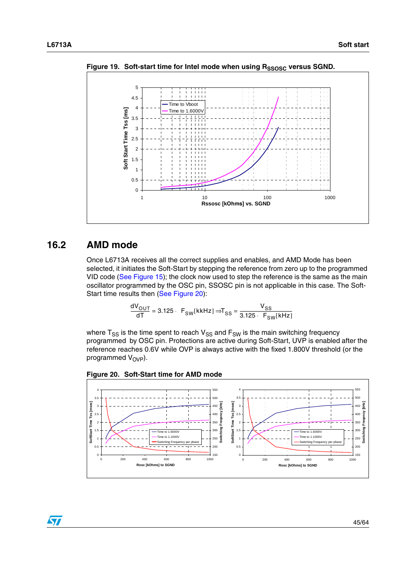![](_page_44_Figure_2.jpeg)

<span id="page-44-1"></span>Figure 19. Soft-start time for Intel mode when using R<sub>SSOSC</sub> versus SGND.

### <span id="page-44-0"></span>**16.2 AMD mode**

 $\sqrt{2}$ 

Once L6713A receives all the correct supplies and enables, and AMD Mode has been selected, it initiates the Soft-Start by stepping the reference from zero up to the programmed VID code ([See Figure 15](#page-41-2)); the clock now used to step the reference is the same as the main oscillator programmed by the OSC pin, SSOSC pin is not applicable in this case. The Soft-Start time results then ([See Figure 20](#page-44-2)):

$$
\frac{dV_{OUT}}{dT} = 3.125 \cdot F_{SW}[kkHz] \Rightarrow T_{SS} = \frac{V_{SS}}{3.125 \cdot F_{SW}[kHz]}
$$

where  $T_{SS}$  is the time spent to reach  $V_{SS}$  and  $F_{SW}$  is the main switching frequency programmed by OSC pin. Protections are active during Soft-Start, UVP is enabled after the reference reaches 0.6V while OVP is always active with the fixed 1.800V threshold (or the programmed  $V_{OVP}$ ).

![](_page_44_Figure_8.jpeg)

<span id="page-44-2"></span>**Figure 20. Soft-Start time for AMD mode**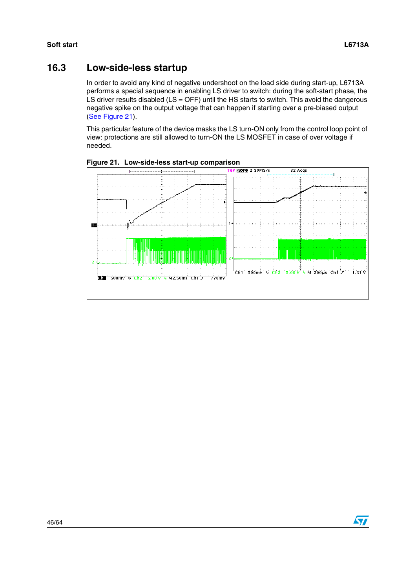$\bm{\varpi}$ 

### <span id="page-45-0"></span>**16.3 Low-side-less startup**

In order to avoid any kind of negative undershoot on the load side during start-up, L6713A performs a special sequence in enabling LS driver to switch: during the soft-start phase, the LS driver results disabled ( $LS = OFF$ ) until the HS starts to switch. This avoid the dangerous negative spike on the output voltage that can happen if starting over a pre-biased output [\(See Figure 21\)](#page-45-1).

This particular feature of the device masks the LS turn-ON only from the control loop point of view: protections are still allowed to turn-ON the LS MOSFET in case of over voltage if needed.

![](_page_45_Figure_5.jpeg)

<span id="page-45-1"></span>**Figure 21. Low-side-less start-up comparison**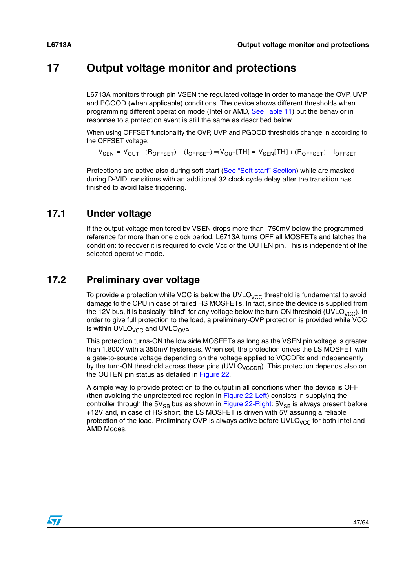# <span id="page-46-0"></span>**17 Output voltage monitor and protections**

L6713A monitors through pin VSEN the regulated voltage in order to manage the OVP, UVP and PGOOD (when applicable) conditions. The device shows different thresholds when programming different operation mode (Intel or AMD, [See Table 11\)](#page-27-4) but the behavior in response to a protection event is still the same as described below.

When using OFFSET funcionality the OVP, UVP and PGOOD thresholds change in according to the OFFSET voltage:

 ${\sf V}_{\sf SEN}$  =  ${\sf V}_{\sf OUT}$  – ( ${\sf R}_{\sf OFFSET}$ )  $\cdot$  ( ${\sf I}_{\sf OFFSET}$ )  $\Rightarrow$   ${\sf V}_{\sf OUT}$ [TH] =  ${\sf V}_{\sf SEN}$ [TH] + ( ${\sf R}_{\sf OFFSET}$ )  $\cdot$   ${\sf I}_{\sf OFFSET}$ 

Protections are active also during soft-start ([See "Soft start" Section](#page-41-0)) while are masked during D-VID transitions with an additional 32 clock cycle delay after the transition has finished to avoid false triggering.

### <span id="page-46-1"></span>**17.1 Under voltage**

If the output voltage monitored by VSEN drops more than -750mV below the programmed reference for more than one clock period, L6713A turns OFF all MOSFETs and latches the condition: to recover it is required to cycle Vcc or the OUTEN pin. This is independent of the selected operative mode.

### <span id="page-46-2"></span>**17.2 Preliminary over voltage**

To provide a protection while VCC is below the UVLO<sub>VCC</sub> threshold is fundamental to avoid damage to the CPU in case of failed HS MOSFETs. In fact, since the device is supplied from the 12V bus, it is basically "blind" for any voltage below the turn-ON threshold (UVLO<sub>VCC</sub>). In order to give full protection to the load, a preliminary-OVP protection is provided while VCC is within UVLO<sub>VCC</sub> and UVLO<sub>OVP</sub>

This protection turns-ON the low side MOSFETs as long as the VSEN pin voltage is greater than 1.800V with a 350mV hysteresis. When set, the protection drives the LS MOSFET with a gate-to-source voltage depending on the voltage applied to VCCDRx and independently by the turn-ON threshold across these pins  $(UVLO_{VCCDR})$ . This protection depends also on the OUTEN pin status as detailed in [Figure 22.](#page-47-2)

A simple way to provide protection to the output in all conditions when the device is OFF (then avoiding the unprotected red region in [Figure 22-](#page-47-2)Left) consists in supplying the controller through the  $5V_{SB}$  bus as shown in [Figure 22-](#page-47-2)Right:  $5V_{SB}$  is always present before +12V and, in case of HS short, the LS MOSFET is driven with 5V assuring a reliable protection of the load. Preliminary OVP is always active before UVLO<sub>VCC</sub> for both Intel and AMD Modes.

![](_page_46_Picture_13.jpeg)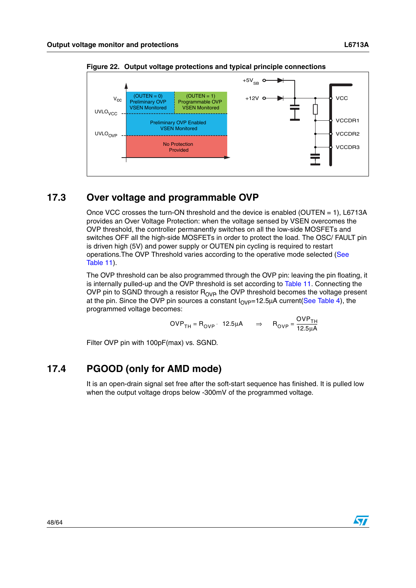![](_page_47_Figure_1.jpeg)

<span id="page-47-2"></span>**Figure 22. Output voltage protections and typical principle connections**

### <span id="page-47-0"></span>**17.3 Over voltage and programmable OVP**

Once VCC crosses the turn-ON threshold and the device is enabled (OUTEN  $=$  1), L6713A provides an Over Voltage Protection: when the voltage sensed by VSEN overcomes the OVP threshold, the controller permanently switches on all the low-side MOSFETs and switches OFF all the high-side MOSFETs in order to protect the load. The OSC/ FAULT pin is driven high (5V) and power supply or OUTEN pin cycling is required to restart operations.The OVP Threshold varies according to the operative mode selected ([See](#page-27-4)  [Table 11](#page-27-4)).

The OVP threshold can be also programmed through the OVP pin: leaving the pin floating, it is internally pulled-up and the OVP threshold is set according to [Table 11](#page-27-4). Connecting the OVP pin to SGND through a resistor  $R_{OVP}$  the OVP threshold becomes the voltage present at the pin. Since the OVP pin sources a constant  $I_{OVP}=12.5\mu A$  current(See Table 4), the programmed voltage becomes:

$$
OVP_{TH} = R_{OVP} \cdot 12.5 \mu A \implies R_{OVP} = \frac{OVP_{TH}}{12.5 \mu A}
$$

Filter OVP pin with 100pF(max) vs. SGND.

# <span id="page-47-1"></span>**17.4 PGOOD (only for AMD mode)**

It is an open-drain signal set free after the soft-start sequence has finished. It is pulled low when the output voltage drops below -300mV of the programmed voltage.

![](_page_47_Picture_10.jpeg)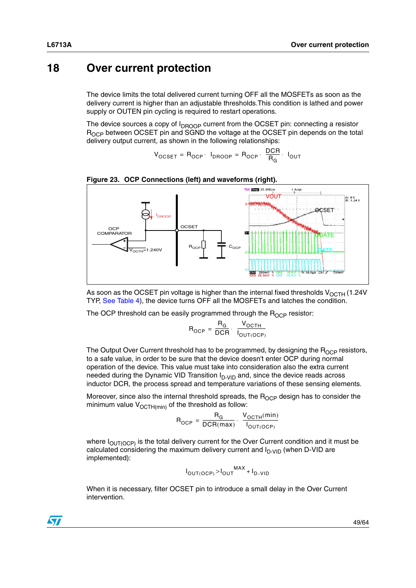# <span id="page-48-0"></span>**18 Over current protection**

The device limits the total delivered current turning OFF all the MOSFETs as soon as the delivery current is higher than an adjustable thresholds.This condition is lathed and power supply or OUTEN pin cycling is required to restart operations.

The device sources a copy of  $I_{\text{DROOP}}$  current from the OCSET pin: connecting a resistor R<sub>OCP</sub> between OCSET pin and SGND the voltage at the OCSET pin depends on the total delivery output current, as shown in the following relationships:

$$
V_{OCSET} = R_{OCP} \cdot I_{DROOP} = R_{OCP} \cdot \frac{DCR}{R_G} \cdot I_{OUT}
$$

![](_page_48_Figure_5.jpeg)

#### **Figure 23. OCP Connections (left) and waveforms (right).**

As soon as the OCSET pin voltage is higher than the internal fixed thresholds  $V_{OCTH}$  (1.24V TYP, See Table 4), the device turns OFF all the MOSFETs and latches the condition.

The OCP threshold can be easily programmed through the  $R_{OCP}$  resistor:

$$
R_{OCP} = \frac{R_G}{DCR} \cdot \frac{V_{OCTH}}{I_{OUT(OCP)}}
$$

The Output Over Current threshold has to be programmed, by designing the  $R_{OCP}$  resistors, to a safe value, in order to be sure that the device doesn't enter OCP during normal operation of the device. This value must take into consideration also the extra current needed during the Dynamic VID Transition  $I_{D-VD}$  and, since the device reads across inductor DCR, the process spread and temperature variations of these sensing elements.

Moreover, since also the internal threshold spreads, the  $R_{OCP}$  design has to consider the minimum value  $V_{\text{OCTH(min)}}$  of the threshold as follow:

$$
R_{OCP} = \frac{R_G}{DCR(max)} \cdot \frac{V_{OCTH}(min)}{I_{OUT(OCP)}}
$$

where  $I<sub>OUT(OCP)</sub>$  is the total delivery current for the Over Current condition and it must be calculated considering the maximum delivery current and  $I_{D-VID}$  (when D-VID are implemented):

$$
I_{OUT(OCP)} > I_{OUT}^{MAX} + I_{D-VID}
$$

When it is necessary, filter OCSET pin to introduce a small delay in the Over Current intervention.

![](_page_48_Picture_16.jpeg)

![](_page_48_Picture_17.jpeg)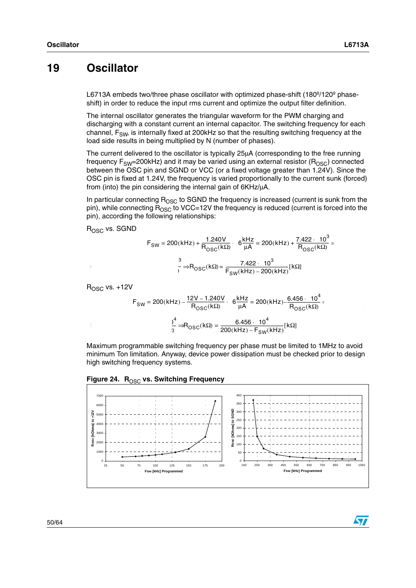$\bm{\varpi}$ 

# <span id="page-49-0"></span>**19 Oscillator**

L6713A embeds two/three phase oscillator with optimized phase-shift (180<sup>o</sup>/120<sup>o</sup> phaseshift) in order to reduce the input rms current and optimize the output filter definition.

The internal oscillator generates the triangular waveform for the PWM charging and discharging with a constant current an internal capacitor. The switching frequency for each channel,  $F_{SW}$ , is internally fixed at 200 kHz so that the resulting switching frequency at the load side results in being multiplied by N (number of phases).

The current delivered to the oscillator is typically 25µA (corresponding to the free running frequency  $F_{SW}=200kHz$ ) and it may be varied using an external resistor ( $R_{OSC}$ ) connected between the OSC pin and SGND or VCC (or a fixed voltage greater than 1.24V). Since the OSC pin is fixed at 1.24V, the frequency is varied proportionally to the current sunk (forced) from (into) the pin considering the internal gain of 6KHz/µA.

In particular connecting  $R_{\text{OSC}}$  to SGND the frequency is increased (current is sunk from the pin), while connecting  $R_{\text{OSC}}$  to VCC=12V the frequency is reduced (current is forced into the pin), according the following relationships:

 $R<sub>OSC</sub>$  vs. SGND

$$
F_{SW} = 200(kHz) + \frac{1.240V}{R_{OSC}(k\Omega)} \cdot 6 \frac{kHz}{\mu A} = 200(kHz) + \frac{7.422 \cdot 10^3}{R_{OSC}(k\Omega)} =
$$

$$
\frac{3}{1.242 \cdot 10^3} = 7.422 \cdot 10^3
$$

$$
\frac{7.422 \cdot 10^3}{R_{SW}(kHz) - 200(kHz)} [k\Omega]
$$

 $R<sub>OSC</sub>$  vs.  $+12V$ 

$$
F_{SW} = 200(kHz) - \frac{12V - 1.240V}{R_{OSC}(k\Omega)} \cdot 6 \frac{kHz}{\mu A} = 200(kHz) - \frac{6.456 \cdot 10^4}{R_{OSC}(k\Omega)} = \frac{12V}{200(kHz) - 6.456 \cdot 10^4} = \frac{12V}{200(kHz) - 6.456 \cdot 10^4} = \frac{12V}{200(kHz) - 6.456 \cdot 10^4} = \frac{12V}{200(kHz) - 6.456 \cdot 10^4} = \frac{12V}{200(kHz) - 6.456 \cdot 10^4} = \frac{12V}{200(kHz) - 6.456 \cdot 10^4} = \frac{12V}{200(kHz) - 6.456 \cdot 10^4} = \frac{12V}{200(kHz) - 6.456 \cdot 10^4} = \frac{12V}{200(kHz) - 6.456 \cdot 10^4} = \frac{12V}{200(kHz) - 6.456 \cdot 10^4} = \frac{12V}{200(kHz) - 6.456 \cdot 10^4} = \frac{12V}{200(kHz) - 6.456 \cdot 10^4} = \frac{12V}{200(kHz) - 6.456 \cdot 10^4} = \frac{12V}{200(kHz) - 6.456 \cdot 10^4} = \frac{12V}{200(kHz) - 6.456 \cdot 10^4} = \frac{12V}{200(kHz) - 6.456 \cdot 10^4} = \frac{12V}{200(kHz) - 6.456 \cdot 10^4} = \frac{12V}{200(kHz) - 6.456 \cdot 10^4} = \frac{12V}{200(kHz) - 6.456 \cdot 10^4} = \frac{12V}{200(kHz) - 6.456 \cdot 10^4} = \frac{12V}{200(kHz) - 6.456 \cdot 10^4} = \frac{12V}{200(kHz) - 6.456 \cdot 10^4} = \frac{12V}{200(kHz) - 6.456 \cdot 10^4} = \frac{12V}{
$$

Maximum programmable switching frequency per phase must be limited to 1MHz to avoid minimum Ton limitation. Anyway, device power dissipation must be checked prior to design high switching frequency systems.

![](_page_49_Figure_12.jpeg)

**Figure 24. R<sub>OSC</sub> vs. Switching Frequency**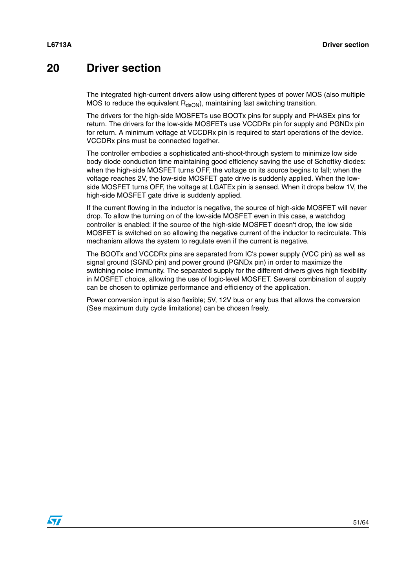# <span id="page-50-0"></span>**20 Driver section**

The integrated high-current drivers allow using different types of power MOS (also multiple MOS to reduce the equivalent  $R_{dsON}$ , maintaining fast switching transition.

The drivers for the high-side MOSFETs use BOOTx pins for supply and PHASEx pins for return. The drivers for the low-side MOSFETs use VCCDRx pin for supply and PGNDx pin for return. A minimum voltage at VCCDRx pin is required to start operations of the device. VCCDRx pins must be connected together.

The controller embodies a sophisticated anti-shoot-through system to minimize low side body diode conduction time maintaining good efficiency saving the use of Schottky diodes: when the high-side MOSFET turns OFF, the voltage on its source begins to fall; when the voltage reaches 2V, the low-side MOSFET gate drive is suddenly applied. When the lowside MOSFET turns OFF, the voltage at LGATEx pin is sensed. When it drops below 1V, the high-side MOSFET gate drive is suddenly applied.

If the current flowing in the inductor is negative, the source of high-side MOSFET will never drop. To allow the turning on of the low-side MOSFET even in this case, a watchdog controller is enabled: if the source of the high-side MOSFET doesn't drop, the low side MOSFET is switched on so allowing the negative current of the inductor to recirculate. This mechanism allows the system to regulate even if the current is negative.

The BOOTx and VCCDRx pins are separated from IC's power supply (VCC pin) as well as signal ground (SGND pin) and power ground (PGNDx pin) in order to maximize the switching noise immunity. The separated supply for the different drivers gives high flexibility in MOSFET choice, allowing the use of logic-level MOSFET. Several combination of supply can be chosen to optimize performance and efficiency of the application.

Power conversion input is also flexible; 5V, 12V bus or any bus that allows the conversion (See maximum duty cycle limitations) can be chosen freely.

 $\sqrt{2}$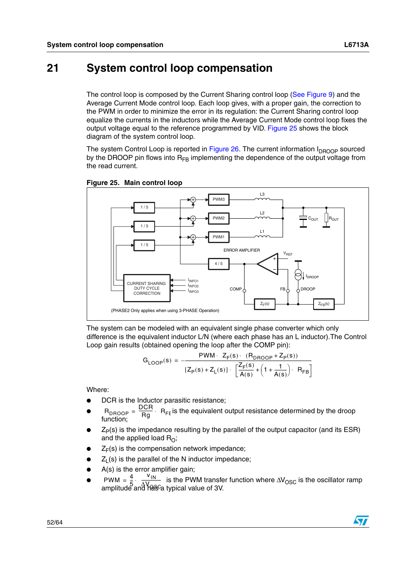# <span id="page-51-0"></span>**21 System control loop compensation**

The control loop is composed by the Current Sharing control loop [\(See Figure 9\)](#page-32-0) and the Average Current Mode control loop. Each loop gives, with a proper gain, the correction to the PWM in order to minimize the error in its regulation: the Current Sharing control loop equalize the currents in the inductors while the Average Current Mode control loop fixes the output voltage equal to the reference programmed by VID. [Figure 25](#page-51-1) shows the block diagram of the system control loop.

The system Control Loop is reported in Figure  $26$ . The current information  $I_{DROOP}$  sourced by the DROOP pin flows into  $R_{FB}$  implementing the dependence of the output voltage from the read current.

![](_page_51_Figure_5.jpeg)

#### <span id="page-51-1"></span>**Figure 25. Main control loop**

The system can be modeled with an equivalent single phase converter which only difference is the equivalent inductor L/N (where each phase has an L inductor).The Control Loop gain results (obtained opening the loop after the COMP pin):

$$
G_{\text{LOOP}}(s) = -\frac{PWM \cdot Z_F(s) \cdot (R_{\text{DROOP}} + Z_P(s))}{[Z_P(s) + Z_L(s)] \cdot \left[\frac{Z_F(s)}{A(s)} + \left(1 + \frac{1}{A(s)}\right) \cdot R_{\text{FB}}\right]}
$$

Where:

- DCR is the Inductor parasitic resistance;
- R<sub>DROOP</sub> =  $\frac{DCR}{B}$ . R<sub>FE</sub> is the equivalent output resistance determined by the droop function;  $=\frac{D U H}{R g}$ . R<sub>FE</sub>
- $Z_P(s)$  is the impedance resulting by the parallel of the output capacitor (and its ESR) and the applied load  $R_{\Omega}$ ;
- $Z_F(s)$  is the compensation network impedance;
- $Z_L(s)$  is the parallel of the N inductor impedance;
- $A(s)$  is the error amplifier gain;
- PWM =  $\frac{4}{5}$   $\frac{1}{4}$  is the PWM transfer function where ∆V<sub>OSC</sub> is the oscillator ramp amplitude and has a typical value of 3V.  $PWM = \frac{4}{5} \cdot \frac{v_{IN}}{\Delta V_{OS}}$  $=\frac{1}{5}\cdot\frac{1}{\sqrt{1-\frac{1}{2}}}\cdot\frac{1}{\sqrt{1-\frac{1}{2}}}\cdot\frac{1}{\sqrt{1-\frac{1}{2}}}\cdot\frac{1}{\sqrt{1-\frac{1}{2}}}\cdot\frac{1}{\sqrt{1-\frac{1}{2}}}\cdot\frac{1}{\sqrt{1-\frac{1}{2}}}\cdot\frac{1}{\sqrt{1-\frac{1}{2}}}\cdot\frac{1}{\sqrt{1-\frac{1}{2}}}\cdot\frac{1}{\sqrt{1-\frac{1}{2}}}\cdot\frac{1}{\sqrt{1-\frac{1}{2}}}\cdot\frac{1}{\sqrt{1-\frac{1}{2}}}\cdot\frac{1}{\sqrt{1-\frac{1}{$

![](_page_51_Picture_18.jpeg)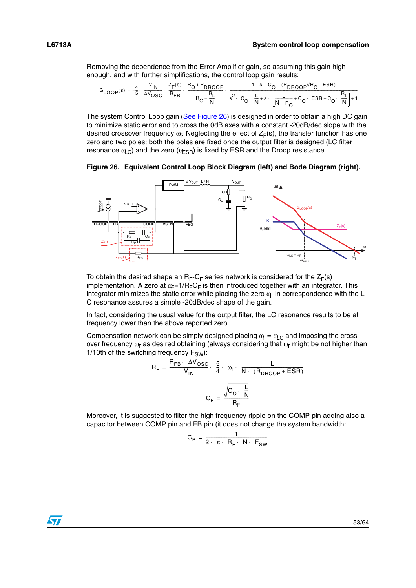Removing the dependence from the Error Amplifier gain, so assuming this gain high enough, and with further simplifications, the control loop gain results:

$$
G_{\text{LOOP}}(s) = -\frac{4}{5} \cdot \frac{v_{\text{IN}}}{\Delta v_{\text{OSC}}} \cdot \frac{z_{\text{F}}(s)}{R_{\text{FB}}} \cdot \frac{R_{\text{O}} + R_{\text{DROOP}}}{R_{\text{O}} + \frac{R_{\text{L}}}{N}} \cdot \frac{1 + s \cdot C_{\text{O}} \cdot (R_{\text{DROOP}}/R_{\text{O}} + \text{ESR})}{s^{2} \cdot C_{\text{O}} \cdot \frac{L}{N} + s \cdot \left[\frac{L}{N \cdot R_{\text{O}}} + C_{\text{O}} \cdot \text{ESR} + C_{\text{O}} \cdot \frac{R_{\text{L}}}{N}\right] + 1}
$$

The system Control Loop gain [\(See Figure 26\)](#page-52-0) is designed in order to obtain a high DC gain to minimize static error and to cross the 0dB axes with a constant -20dB/dec slope with the desired crossover frequency  $\omega$ <sub>r</sub>. Neglecting the effect of  $Z_F(s)$ , the transfer function has one zero and two poles; both the poles are fixed once the output filter is designed (LC filter resonance  $\omega_C$ ) and the zero ( $\omega_{\text{ESR}}$ ) is fixed by ESR and the Droop resistance.

<span id="page-52-0"></span>**Figure 26. Equivalent Control Loop Block Diagram (left) and Bode Diagram (right).**

![](_page_52_Figure_6.jpeg)

To obtain the desired shape an  $R_F-C_F$  series network is considered for the  $Z_F(s)$ implementation. A zero at  $\omega_F=1/R_FC_F$  is then introduced together with an integrator. This integrator minimizes the static error while placing the zero  $\alpha_F$  in correspondence with the L-C resonance assures a simple -20dB/dec shape of the gain.

In fact, considering the usual value for the output filter, the LC resonance results to be at frequency lower than the above reported zero.

Compensation network can be simply designed placing  $\alpha_F = \alpha_{\text{LC}}$  and imposing the crossover frequency  $\omega_T$  as desired obtaining (always considering that  $\omega_T$  might be not higher than 1/10th of the switching frequency  $F_{SW}$ ):

$$
R_F = \frac{R_{FB} \cdot \Delta V_{OSC}}{V_{IN}} \cdot \frac{5}{4} \cdot \omega_T \cdot \frac{L}{N \cdot (R_{DROOP} + ESR)}
$$

$$
C_F = \frac{\sqrt{C_O \cdot \frac{L}{N}}}{R_F}
$$

Moreover, it is suggested to filter the high frequency ripple on the COMP pin adding also a capacitor between COMP pin and FB pin (it does not change the system bandwidth:

$$
C_{P} = \frac{1}{2 \cdot \pi \cdot R_{F} \cdot N \cdot F_{SW}}
$$

![](_page_52_Picture_13.jpeg)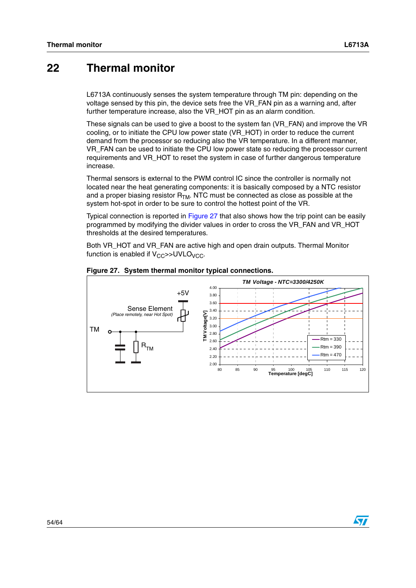# <span id="page-53-0"></span>**22 Thermal monitor**

L6713A continuously senses the system temperature through TM pin: depending on the voltage sensed by this pin, the device sets free the VR\_FAN pin as a warning and, after further temperature increase, also the VR\_HOT pin as an alarm condition.

These signals can be used to give a boost to the system fan (VR\_FAN) and improve the VR cooling, or to initiate the CPU low power state (VR\_HOT) in order to reduce the current demand from the processor so reducing also the VR temperature. In a different manner, VR\_FAN can be used to initiate the CPU low power state so reducing the processor current requirements and VR\_HOT to reset the system in case of further dangerous temperature increase.

Thermal sensors is external to the PWM control IC since the controller is normally not located near the heat generating components: it is basically composed by a NTC resistor and a proper biasing resistor  $R_{TM}$ . NTC must be connected as close as possible at the system hot-spot in order to be sure to control the hottest point of the VR.

Typical connection is reported in [Figure 27](#page-53-1) that also shows how the trip point can be easily programmed by modifying the divider values in order to cross the VR\_FAN and VR\_HOT thresholds at the desired temperatures.

Both VR\_HOT and VR\_FAN are active high and open drain outputs. Thermal Monitor function is enabled if  $V_{CC}$ >>UVLO<sub>VCC</sub>.

![](_page_53_Figure_8.jpeg)

<span id="page-53-1"></span>**Figure 27. System thermal monitor typical connections.**

![](_page_53_Picture_10.jpeg)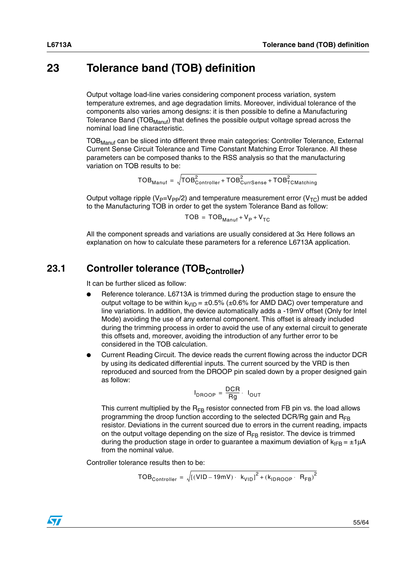# <span id="page-54-0"></span>**23 Tolerance band (TOB) definition**

Output voltage load-line varies considering component process variation, system temperature extremes, and age degradation limits. Moreover, individual tolerance of the components also varies among designs: it is then possible to define a Manufacturing Tolerance Band ( $TOB_{M\alpha\text{nu}}$ ) that defines the possible output voltage spread across the nominal load line characteristic.

TOB<sub>Manuf</sub> can be sliced into different three main categories: Controller Tolerance, External Current Sense Circuit Tolerance and Time Constant Matching Error Tolerance. All these parameters can be composed thanks to the RSS analysis so that the manufacturing variation on TOB results to be:

 $\mathsf{TOB}_{\mathsf{Manuf}}^2 = \sqrt{\mathsf{TOB}_{\mathsf{Controller}}^2 + \mathsf{TOB}_{\mathsf{Curr Sense}}^2 + \mathsf{TOB}_{\mathsf{TCMatching}}^2}$ 

Output voltage ripple ( $V_P=V_{PP}/2$ ) and temperature measurement error ( $V_{TC}$ ) must be added to the Manufacturing TOB in order to get the system Tolerance Band as follow:

 $TOB = TOB_{Manut} + V_P + V_{TC}$ 

All the component spreads and variations are usually considered at  $3\sigma$  Here follows an explanation on how to calculate these parameters for a reference L6713A application.

# <span id="page-54-1"></span>23.1 Controller tolerance (TOB<sub>Controller</sub>)

It can be further sliced as follow:

- Reference tolerance. L6713A is trimmed during the production stage to ensure the output voltage to be within  $k_{VID} = \pm 0.5\%$  ( $\pm 0.6\%$  for AMD DAC) over temperature and line variations. In addition, the device automatically adds a -19mV offset (Only for Intel Mode) avoiding the use of any external component. This offset is already included during the trimming process in order to avoid the use of any external circuit to generate this offsets and, moreover, avoiding the introduction of any further error to be considered in the TOB calculation.
- Current Reading Circuit. The device reads the current flowing across the inductor DCR by using its dedicated differential inputs. The current sourced by the VRD is then reproduced and sourced from the DROOP pin scaled down by a proper designed gain as follow:

$$
I_{DROOP} = \frac{DCR}{Rg} \cdot I_{OUT}
$$

This current multiplied by the  $R_{FB}$  resistor connected from FB pin vs. the load allows programming the droop function according to the selected DCR/Rg gain and  $R_{FR}$ resistor. Deviations in the current sourced due to errors in the current reading, impacts on the output voltage depending on the size of  $R_{FB}$  resistor. The device is trimmed during the production stage in order to guarantee a maximum deviation of  $k_{IFB} = \pm 1 \mu A$ from the nominal value.

Controller tolerance results then to be:

$$
TOB_{\text{Controller}} = \sqrt{[(VID - 19mV) \cdot k_{VID} ]^2 + (k_{\text{IDROP}} \cdot R_{FB})^2}
$$

![](_page_54_Picture_16.jpeg)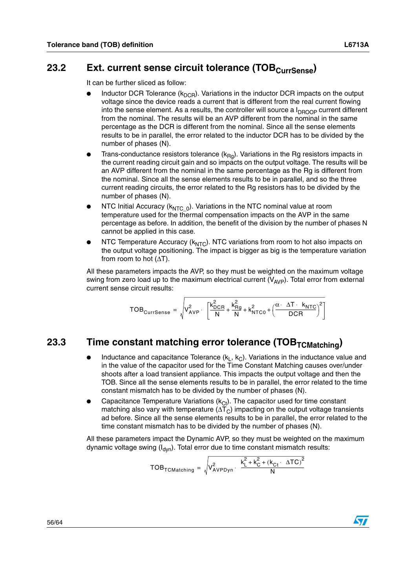### <span id="page-55-0"></span>23.2 Ext. current sense circuit tolerance (TOB<sub>CurrSense</sub>)

It can be further sliced as follow:

- Inductor DCR Tolerance  $(k_{DCR})$ . Variations in the inductor DCR impacts on the output voltage since the device reads a current that is different from the real current flowing into the sense element. As a results, the controller will source a  $I_{DROOP}$  current different from the nominal. The results will be an AVP different from the nominal in the same percentage as the DCR is different from the nominal. Since all the sense elements results to be in parallel, the error related to the inductor DCR has to be divided by the number of phases (N).
- Trans-conductance resistors tolerance ( $k_{\text{Rq}}$ ). Variations in the Rg resistors impacts in the current reading circuit gain and so impacts on the output voltage. The results will be an AVP different from the nominal in the same percentage as the Rg is different from the nominal. Since all the sense elements results to be in parallel, and so the three current reading circuits, the error related to the Rg resistors has to be divided by the number of phases (N).
- NTC Initial Accuracy ( $k_{NTC_0}$ ). Variations in the NTC nominal value at room temperature used for the thermal compensation impacts on the AVP in the same percentage as before. In addition, the benefit of the division by the number of phases N cannot be applied in this case.
- NTC Temperature Accuracy ( $k_{\text{NTC}}$ ). NTC variations from room to hot also impacts on the output voltage positioning. The impact is bigger as big is the temperature variation from room to hot  $(ΔT)$ .

All these parameters impacts the AVP, so they must be weighted on the maximum voltage swing from zero load up to the maximum electrical current  $(V_{AVP})$ . Total error from external current sense circuit results:

$$
TOB_{\text{Curresense}} = \sqrt{V_{AVP}^2 \cdot \left[\frac{k_{DCR}^2}{N} + \frac{k_{Rg}^2}{N} + k_{NTC0}^2 + \left(\frac{\alpha \cdot \Delta T \cdot k_{NTC}}{DCR}\right)^2\right]}
$$

# <span id="page-55-1"></span>23.3 Time constant matching error tolerance (TOB<sub>TCMatching</sub>)

- Inductance and capacitance Tolerance  $(k_L, k_C)$ . Variations in the inductance value and in the value of the capacitor used for the Time Constant Matching causes over/under shoots after a load transient appliance. This impacts the output voltage and then the TOB. Since all the sense elements results to be in parallel, the error related to the time constant mismatch has to be divided by the number of phases (N).
- Capacitance Temperature Variations ( $k<sub>Ct</sub>$ ). The capacitor used for time constant matching also vary with temperature ( $\Delta T_C$ ) impacting on the output voltage transients ad before. Since all the sense elements results to be in parallel, the error related to the time constant mismatch has to be divided by the number of phases (N).

All these parameters impact the Dynamic AVP, so they must be weighted on the maximum dynamic voltage swing  $(I_{dyn})$ . Total error due to time constant mismatch results:

$$
TOB_{TCMatching} = \sqrt{V_{AVPDyn}^2 \cdot \frac{k_L^2 + k_C^2 + (k_{Ct} \cdot \Delta TC)^2}{N}}
$$

![](_page_55_Picture_16.jpeg)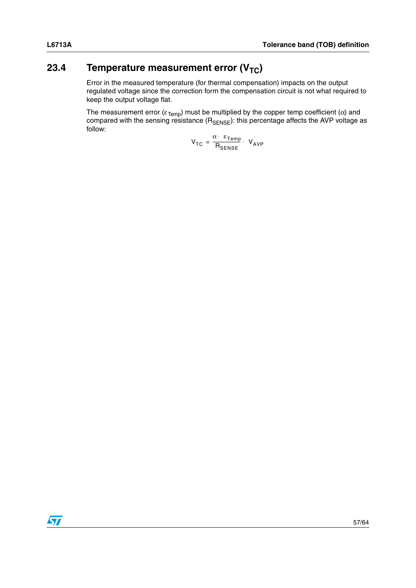# <span id="page-56-0"></span>**23.4** Temperature measurement error (V<sub>TC</sub>)

Error in the measured temperature (for thermal compensation) impacts on the output regulated voltage since the correction form the compensation circuit is not what required to keep the output voltage flat.

The measurement error ( $\varepsilon_{\text{Temp}}$ ) must be multiplied by the copper temp coefficient (α) and compared with the sensing resistance (R<sub>SENSE</sub>): this percentage affects the AVP voltage as follow:

$$
V_{TC} = \frac{\alpha \cdot \ \varepsilon_{Temp}}{R_{SENSE}} \cdot \ V_{AVP}
$$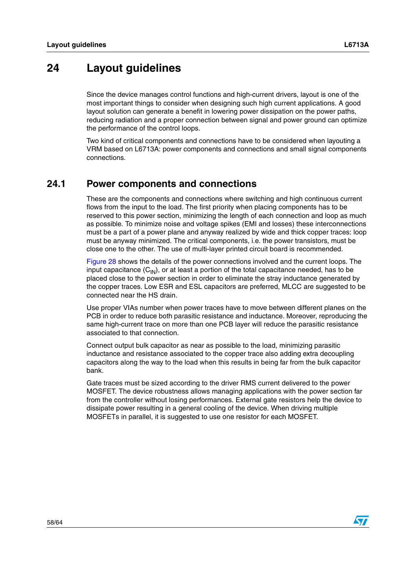# <span id="page-57-0"></span>**24 Layout guidelines**

Since the device manages control functions and high-current drivers, layout is one of the most important things to consider when designing such high current applications. A good layout solution can generate a benefit in lowering power dissipation on the power paths, reducing radiation and a proper connection between signal and power ground can optimize the performance of the control loops.

Two kind of critical components and connections have to be considered when layouting a VRM based on L6713A: power components and connections and small signal components connections.

### <span id="page-57-1"></span>**24.1 Power components and connections**

These are the components and connections where switching and high continuous current flows from the input to the load. The first priority when placing components has to be reserved to this power section, minimizing the length of each connection and loop as much as possible. To minimize noise and voltage spikes (EMI and losses) these interconnections must be a part of a power plane and anyway realized by wide and thick copper traces: loop must be anyway minimized. The critical components, i.e. the power transistors, must be close one to the other. The use of multi-layer printed circuit board is recommended.

[Figure 28](#page-58-1) shows the details of the power connections involved and the current loops. The input capacitance  $(C_{\text{IN}})$ , or at least a portion of the total capacitance needed, has to be placed close to the power section in order to eliminate the stray inductance generated by the copper traces. Low ESR and ESL capacitors are preferred, MLCC are suggested to be connected near the HS drain.

Use proper VIAs number when power traces have to move between different planes on the PCB in order to reduce both parasitic resistance and inductance. Moreover, reproducing the same high-current trace on more than one PCB layer will reduce the parasitic resistance associated to that connection.

Connect output bulk capacitor as near as possible to the load, minimizing parasitic inductance and resistance associated to the copper trace also adding extra decoupling capacitors along the way to the load when this results in being far from the bulk capacitor bank.

Gate traces must be sized according to the driver RMS current delivered to the power MOSFET. The device robustness allows managing applications with the power section far from the controller without losing performances. External gate resistors help the device to dissipate power resulting in a general cooling of the device. When driving multiple MOSFETs in parallel, it is suggested to use one resistor for each MOSFET.

![](_page_57_Picture_12.jpeg)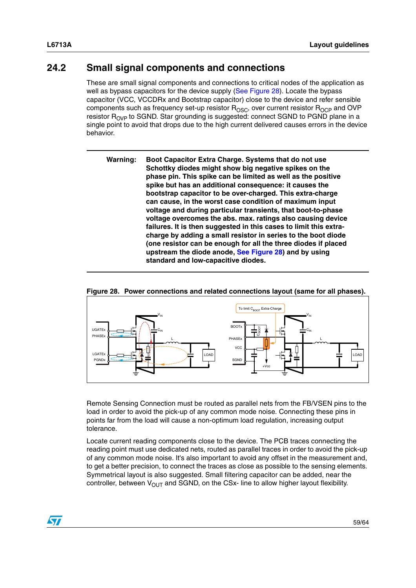### <span id="page-58-0"></span>**24.2 Small signal components and connections**

These are small signal components and connections to critical nodes of the application as well as bypass capacitors for the device supply ([See Figure 28\)](#page-58-1). Locate the bypass capacitor (VCC, VCCDRx and Bootstrap capacitor) close to the device and refer sensible components such as frequency set-up resistor  $R_{\text{OSC}}$ , over current resistor  $R_{\text{OCP}}$  and OVP resistor R<sub>OVP</sub> to SGND. Star grounding is suggested: connect SGND to PGND plane in a single point to avoid that drops due to the high current delivered causes errors in the device behavior.

**Warning: Boot Capacitor Extra Charge. Systems that do not use Schottky diodes might show big negative spikes on the phase pin. This spike can be limited as well as the positive spike but has an additional consequence: it causes the bootstrap capacitor to be over-charged. This extra-charge can cause, in the worst case condition of maximum input voltage and during particular transients, that boot-to-phase voltage overcomes the abs. max. ratings also causing device failures. It is then suggested in this cases to limit this extracharge by adding a small resistor in series to the boot diode (one resistor can be enough for all the three diodes if placed upstream the diode anode, [See Figure 28\)](#page-58-1) and by using standard and low-capacitive diodes.**

![](_page_58_Figure_5.jpeg)

#### <span id="page-58-1"></span>**Figure 28. Power connections and related connections layout (same for all phases).**

Remote Sensing Connection must be routed as parallel nets from the FB/VSEN pins to the load in order to avoid the pick-up of any common mode noise. Connecting these pins in points far from the load will cause a non-optimum load regulation, increasing output tolerance.

Locate current reading components close to the device. The PCB traces connecting the reading point must use dedicated nets, routed as parallel traces in order to avoid the pick-up of any common mode noise. It's also important to avoid any offset in the measurement and, to get a better precision, to connect the traces as close as possible to the sensing elements. Symmetrical layout is also suggested. Small filtering capacitor can be added, near the controller, between  $V_{OUT}$  and SGND, on the CSx- line to allow higher layout flexibility.

![](_page_58_Picture_9.jpeg)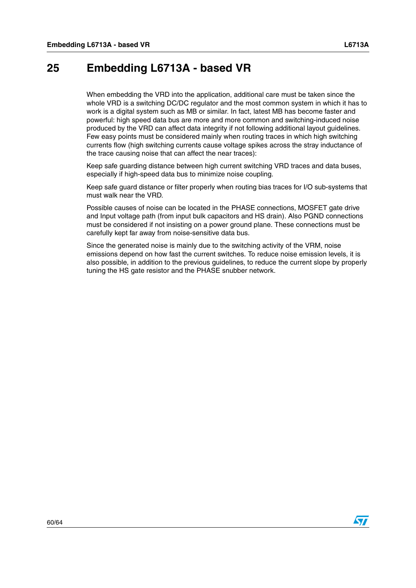# <span id="page-59-0"></span>**25 Embedding L6713A - based VR**

When embedding the VRD into the application, additional care must be taken since the whole VRD is a switching DC/DC regulator and the most common system in which it has to work is a digital system such as MB or similar. In fact, latest MB has become faster and powerful: high speed data bus are more and more common and switching-induced noise produced by the VRD can affect data integrity if not following additional layout guidelines. Few easy points must be considered mainly when routing traces in which high switching currents flow (high switching currents cause voltage spikes across the stray inductance of the trace causing noise that can affect the near traces):

Keep safe guarding distance between high current switching VRD traces and data buses, especially if high-speed data bus to minimize noise coupling.

Keep safe guard distance or filter properly when routing bias traces for I/O sub-systems that must walk near the VRD.

Possible causes of noise can be located in the PHASE connections, MOSFET gate drive and Input voltage path (from input bulk capacitors and HS drain). Also PGND connections must be considered if not insisting on a power ground plane. These connections must be carefully kept far away from noise-sensitive data bus.

Since the generated noise is mainly due to the switching activity of the VRM, noise emissions depend on how fast the current switches. To reduce noise emission levels, it is also possible, in addition to the previous guidelines, to reduce the current slope by properly tuning the HS gate resistor and the PHASE snubber network.

![](_page_59_Picture_9.jpeg)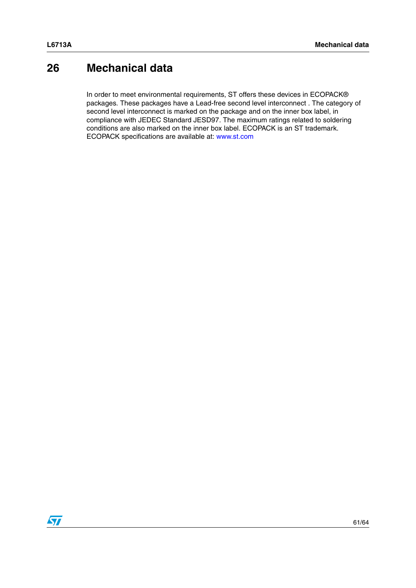# <span id="page-60-0"></span>**26 Mechanical data**

In order to meet environmental requirements, ST offers these devices in ECOPACK® packages. These packages have a Lead-free second level interconnect . The category of second level interconnect is marked on the package and on the inner box label, in compliance with JEDEC Standard JESD97. The maximum ratings related to soldering conditions are also marked on the inner box label. ECOPACK is an ST trademark. ECOPACK specifications are available at: www.st.com

![](_page_60_Picture_4.jpeg)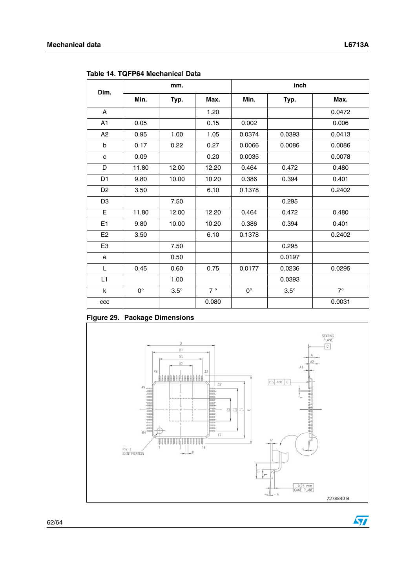$\sqrt{2}$ 

| Dim.           |             | mm.         |       | inch        |             |           |  |
|----------------|-------------|-------------|-------|-------------|-------------|-----------|--|
|                | Min.        | Typ.        | Max.  | Min.        | Typ.        | Max.      |  |
| $\mathsf{A}$   |             |             | 1.20  |             |             | 0.0472    |  |
| A1             | 0.05        |             | 0.15  | 0.002       |             | 0.006     |  |
| A2             | 0.95        | 1.00        | 1.05  | 0.0374      | 0.0393      | 0.0413    |  |
| b              | 0.17        | 0.22        | 0.27  | 0.0066      | 0.0086      | 0.0086    |  |
| C              | 0.09        |             | 0.20  | 0.0035      |             | 0.0078    |  |
| D              | 11.80       | 12.00       | 12.20 | 0.464       | 0.472       | 0.480     |  |
| D <sub>1</sub> | 9.80        | 10.00       | 10.20 | 0.386       | 0.394       | 0.401     |  |
| D <sub>2</sub> | 3.50        |             | 6.10  | 0.1378      |             | 0.2402    |  |
| D <sub>3</sub> |             | 7.50        |       |             | 0.295       |           |  |
| E              | 11.80       | 12.00       | 12.20 | 0.464       | 0.472       | 0.480     |  |
| E1             | 9.80        | 10.00       | 10.20 | 0.386       | 0.394       | 0.401     |  |
| E <sub>2</sub> | 3.50        |             | 6.10  | 0.1378      |             | 0.2402    |  |
| E <sub>3</sub> |             | 7.50        |       |             | 0.295       |           |  |
| e              |             | 0.50        |       |             | 0.0197      |           |  |
| L              | 0.45        | 0.60        | 0.75  | 0.0177      | 0.0236      | 0.0295    |  |
| L1             |             | 1.00        |       |             | 0.0393      |           |  |
| k              | $0^{\circ}$ | $3.5^\circ$ | 7°    | $0^{\circ}$ | $3.5^\circ$ | $7^\circ$ |  |
| ccc            |             |             | 0.080 |             |             | 0.0031    |  |

<span id="page-61-0"></span>**Table 14. TQFP64 Mechanical Data**

### **Figure 29. Package Dimensions**

![](_page_61_Figure_5.jpeg)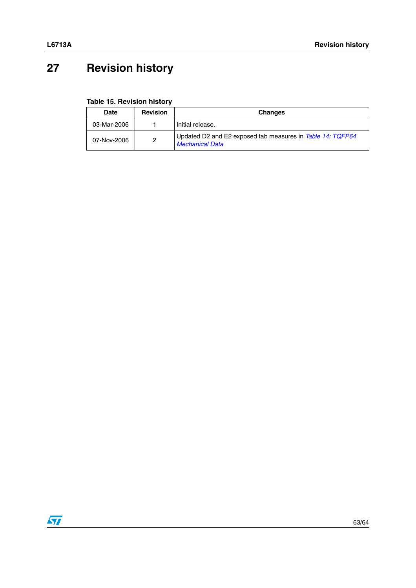# <span id="page-62-0"></span>**27 Revision history**

**Table 15. Revision history**

| <b>Date</b> | <b>Revision</b> | <b>Changes</b>                                                                       |
|-------------|-----------------|--------------------------------------------------------------------------------------|
| 03-Mar-2006 |                 | Initial release.                                                                     |
| 07-Nov-2006 | 2               | Updated D2 and E2 exposed tab measures in Table 14: TQFP64<br><b>Mechanical Data</b> |

![](_page_62_Picture_5.jpeg)